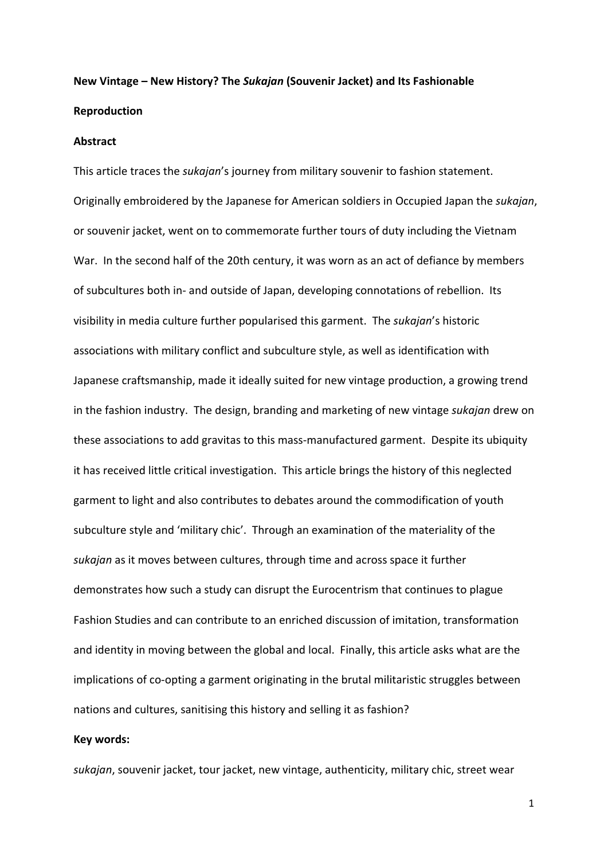# **New Vintage – New History? The** *Sukajan* **(Souvenir Jacket) and Its Fashionable Reproduction**

#### **Abstract**

This article traces the *sukajan*'s journey from military souvenir to fashion statement. Originally embroidered by the Japanese for American soldiers in Occupied Japan the *sukajan*, or souvenir jacket, went on to commemorate further tours of duty including the Vietnam War. In the second half of the 20th century, it was worn as an act of defiance by members of subcultures both in- and outside of Japan, developing connotations of rebellion. Its visibility in media culture further popularised this garment. The *sukajan*'s historic associations with military conflict and subculture style, as well as identification with Japanese craftsmanship, made it ideally suited for new vintage production, a growing trend in the fashion industry. The design, branding and marketing of new vintage *sukajan* drew on these associations to add gravitas to this mass-manufactured garment. Despite its ubiquity it has received little critical investigation. This article brings the history of this neglected garment to light and also contributes to debates around the commodification of youth subculture style and 'military chic'. Through an examination of the materiality of the *sukajan* as it moves between cultures, through time and across space it further demonstrates how such a study can disrupt the Eurocentrism that continues to plague Fashion Studies and can contribute to an enriched discussion of imitation, transformation and identity in moving between the global and local. Finally, this article asks what are the implications of co-opting a garment originating in the brutal militaristic struggles between nations and cultures, sanitising this history and selling it as fashion?

#### **Key words:**

*sukajan*, souvenir jacket, tour jacket, new vintage, authenticity, military chic, street wear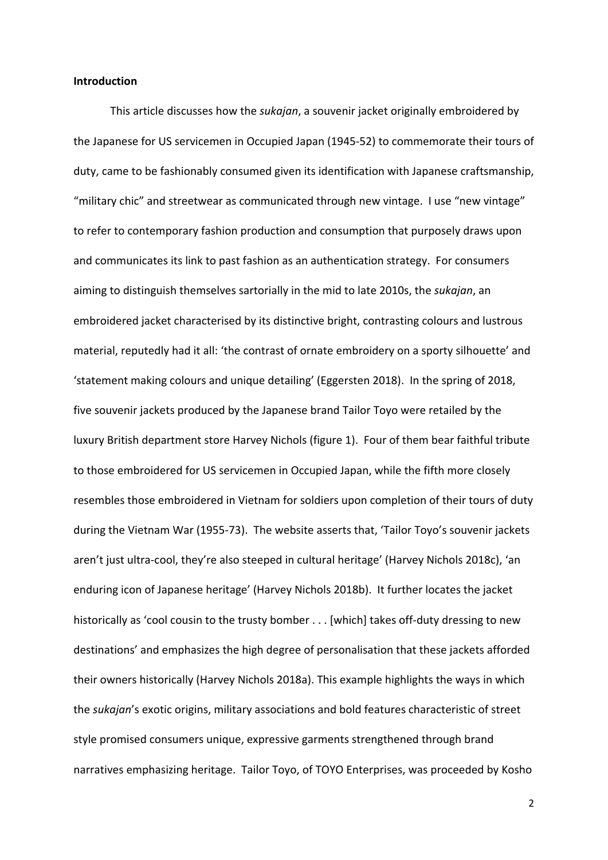#### **Introduction**

This article discusses how the *sukajan*, a souvenir jacket originally embroidered by the Japanese for US servicemen in Occupied Japan (1945-52) to commemorate their tours of duty, came to be fashionably consumed given its identification with Japanese craftsmanship, "military chic" and streetwear as communicated through new vintage. I use "new vintage" to refer to contemporary fashion production and consumption that purposely draws upon and communicates its link to past fashion as an authentication strategy. For consumers aiming to distinguish themselves sartorially in the mid to late 2010s, the *sukajan*, an embroidered jacket characterised by its distinctive bright, contrasting colours and lustrous material, reputedly had it all: 'the contrast of ornate embroidery on a sporty silhouette' and 'statement making colours and unique detailing' (Eggersten 2018). In the spring of 2018, five souvenir jackets produced by the Japanese brand Tailor Toyo were retailed by the luxury British department store Harvey Nichols (figure 1). Four of them bear faithful tribute to those embroidered for US servicemen in Occupied Japan, while the fifth more closely resembles those embroidered in Vietnam for soldiers upon completion of their tours of duty during the Vietnam War (1955-73). The website asserts that, 'Tailor Toyo's souvenir jackets aren't just ultra-cool, they're also steeped in cultural heritage' (Harvey Nichols 2018c), 'an enduring icon of Japanese heritage' (Harvey Nichols 2018b). It further locates the jacket historically as 'cool cousin to the trusty bomber . . . [which] takes off-duty dressing to new destinations' and emphasizes the high degree of personalisation that these jackets afforded their owners historically (Harvey Nichols 2018a). This example highlights the ways in which the *sukajan*'s exotic origins, military associations and bold features characteristic of street style promised consumers unique, expressive garments strengthened through brand narratives emphasizing heritage. Tailor Toyo, of TOYO Enterprises, was proceeded by Kosho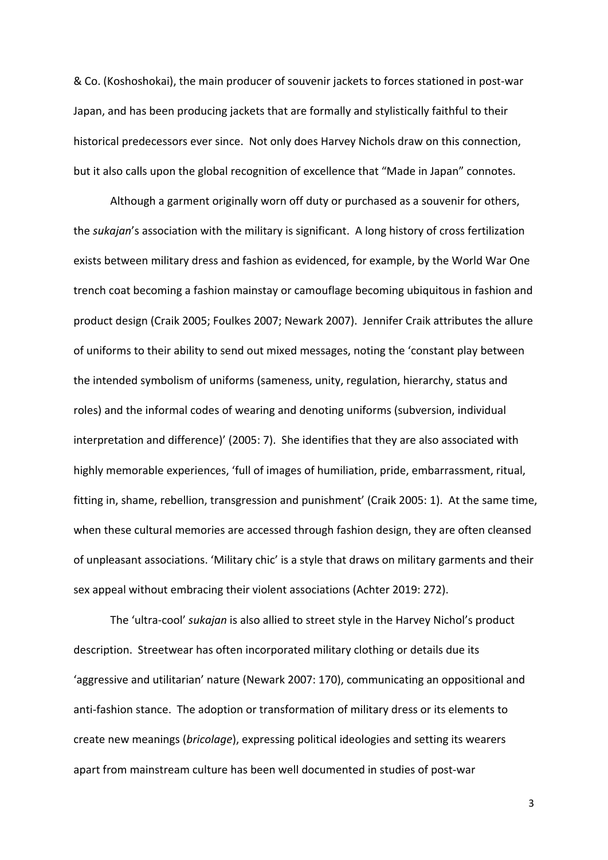& Co. (Koshoshokai), the main producer of souvenir jackets to forces stationed in post-war Japan, and has been producing jackets that are formally and stylistically faithful to their historical predecessors ever since. Not only does Harvey Nichols draw on this connection, but it also calls upon the global recognition of excellence that "Made in Japan" connotes.

Although a garment originally worn off duty or purchased as a souvenir for others, the *sukajan*'s association with the military is significant. A long history of cross fertilization exists between military dress and fashion as evidenced, for example, by the World War One trench coat becoming a fashion mainstay or camouflage becoming ubiquitous in fashion and product design (Craik 2005; Foulkes 2007; Newark 2007). Jennifer Craik attributes the allure of uniforms to their ability to send out mixed messages, noting the 'constant play between the intended symbolism of uniforms (sameness, unity, regulation, hierarchy, status and roles) and the informal codes of wearing and denoting uniforms (subversion, individual interpretation and difference)' (2005: 7). She identifies that they are also associated with highly memorable experiences, 'full of images of humiliation, pride, embarrassment, ritual, fitting in, shame, rebellion, transgression and punishment' (Craik 2005: 1). At the same time, when these cultural memories are accessed through fashion design, they are often cleansed of unpleasant associations. 'Military chic' is a style that draws on military garments and their sex appeal without embracing their violent associations (Achter 2019: 272).

The 'ultra-cool' *sukajan* is also allied to street style in the Harvey Nichol's product description. Streetwear has often incorporated military clothing or details due its 'aggressive and utilitarian' nature (Newark 2007: 170), communicating an oppositional and anti-fashion stance. The adoption or transformation of military dress or its elements to create new meanings (*bricolage*), expressing political ideologies and setting its wearers apart from mainstream culture has been well documented in studies of post-war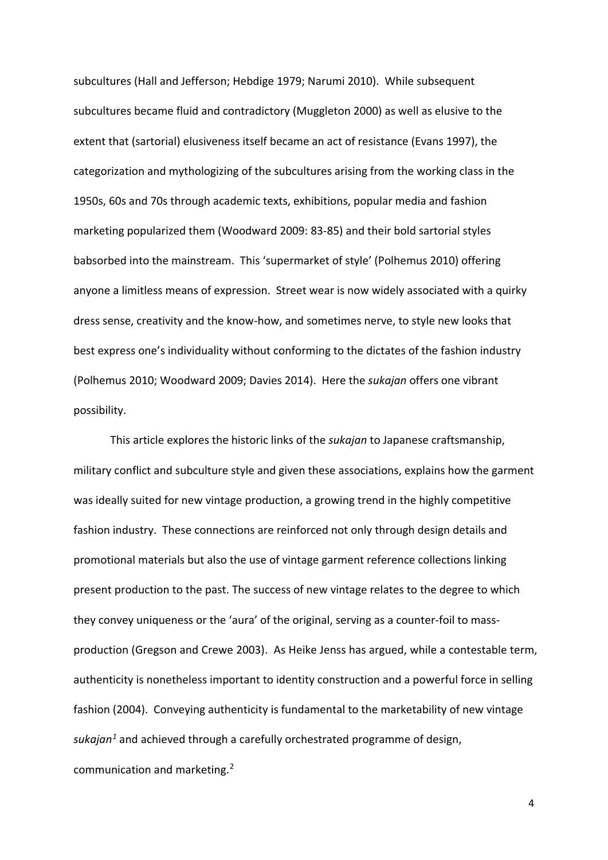subcultures (Hall and Jefferson; Hebdige 1979; Narumi 2010). While subsequent subcultures became fluid and contradictory (Muggleton 2000) as well as elusive to the extent that (sartorial) elusiveness itself became an act of resistance (Evans 1997), the categorization and mythologizing of the subcultures arising from the working class in the 1950s, 60s and 70s through academic texts, exhibitions, popular media and fashion marketing popularized them (Woodward 2009: 83-85) and their bold sartorial styles babsorbed into the mainstream. This 'supermarket of style' (Polhemus 2010) offering anyone a limitless means of expression. Street wear is now widely associated with a quirky dress sense, creativity and the know-how, and sometimes nerve, to style new looks that best express one's individuality without conforming to the dictates of the fashion industry (Polhemus 2010; Woodward 2009; Davies 2014). Here the *sukajan* offers one vibrant possibility.

This article explores the historic links of the *sukajan* to Japanese craftsmanship, military conflict and subculture style and given these associations, explains how the garment was ideally suited for new vintage production, a growing trend in the highly competitive fashion industry. These connections are reinforced not only through design details and promotional materials but also the use of vintage garment reference collections linking present production to the past. The success of new vintage relates to the degree to which they convey uniqueness or the 'aura' of the original, serving as a counter-foil to massproduction (Gregson and Crewe 2003). As Heike Jenss has argued, while a contestable term, authenticity is nonetheless important to identity construction and a powerful force in selling fashion (2004). Conveying authenticity is fundamental to the marketability of new vintage *sukajan[1](#page-5-0)* and achieved through a carefully orchestrated programme of design, communication and marketing.[2](#page-5-1)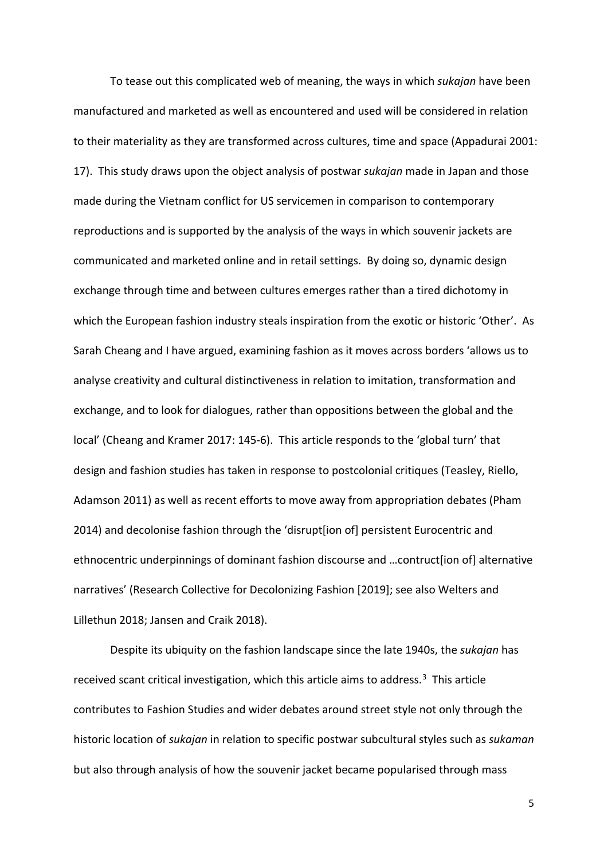To tease out this complicated web of meaning, the ways in which *sukajan* have been manufactured and marketed as well as encountered and used will be considered in relation to their materiality as they are transformed across cultures, time and space (Appadurai 2001: 17). This study draws upon the object analysis of postwar *sukajan* made in Japan and those made during the Vietnam conflict for US servicemen in comparison to contemporary reproductions and is supported by the analysis of the ways in which souvenir jackets are communicated and marketed online and in retail settings. By doing so, dynamic design exchange through time and between cultures emerges rather than a tired dichotomy in which the European fashion industry steals inspiration from the exotic or historic 'Other'. As Sarah Cheang and I have argued, examining fashion as it moves across borders 'allows us to analyse creativity and cultural distinctiveness in relation to imitation, transformation and exchange, and to look for dialogues, rather than oppositions between the global and the local' (Cheang and Kramer 2017: 145-6). This article responds to the 'global turn' that design and fashion studies has taken in response to postcolonial critiques (Teasley, Riello, Adamson 2011) as well as recent efforts to move away from appropriation debates (Pham 2014) and decolonise fashion through the 'disrupt[ion of] persistent Eurocentric and ethnocentric underpinnings of dominant fashion discourse and …contruct[ion of] alternative narratives' (Research Collective for Decolonizing Fashion [2019]; see also Welters and Lillethun 2018; Jansen and Craik 2018).

Despite its ubiquity on the fashion landscape since the late 1940s, the *sukajan* has received scant critical investigation, which this article aims to address.<sup>3</sup> This article contributes to Fashion Studies and wider debates around street style not only through the historic location of *sukajan* in relation to specific postwar subcultural styles such as *sukaman* but also through analysis of how the souvenir jacket became popularised through mass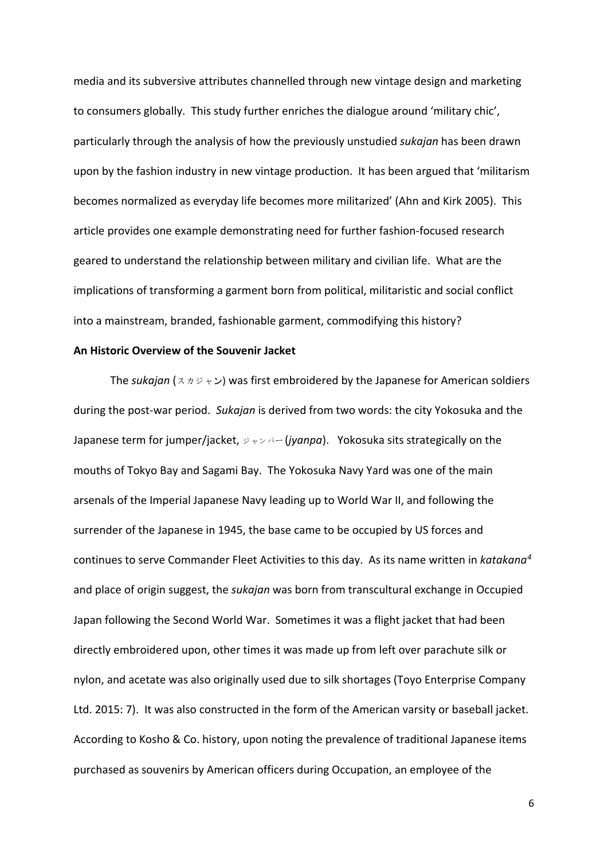<span id="page-5-3"></span><span id="page-5-2"></span><span id="page-5-1"></span><span id="page-5-0"></span>media and its subversive attributes channelled through new vintage design and marketing to consumers globally. This study further enriches the dialogue around 'military chic', particularly through the analysis of how the previously unstudied *sukajan* has been drawn upon by the fashion industry in new vintage production. It has been argued that 'militarism becomes normalized as everyday life becomes more militarized' (Ahn and Kirk 2005). This article provides one example demonstrating need for further fashion-focused research geared to understand the relationship between military and civilian life. What are the implications of transforming a garment born from political, militaristic and social conflict into a mainstream, branded, fashionable garment, commodifying this history?

#### <span id="page-5-12"></span><span id="page-5-11"></span><span id="page-5-10"></span><span id="page-5-9"></span><span id="page-5-8"></span><span id="page-5-7"></span><span id="page-5-6"></span><span id="page-5-5"></span><span id="page-5-4"></span>**An Historic Overview of the Souvenir Jacket**

<span id="page-5-16"></span><span id="page-5-15"></span><span id="page-5-14"></span><span id="page-5-13"></span>The *sukajan* (スカジャン) was first embroidered by the Japanese for American soldiers during the post-war period. *Sukajan* is derived from two words: the city Yokosuka and the Japanese term for jumper/jacket, ジャンパー (*jyanpa*). Yokosuka sits strategically on the mouths of Tokyo Bay and Sagami Bay. The Yokosuka Navy Yard was one of the main arsenals of the Imperial Japanese Navy leading up to World War II, and following the surrender of the Japanese in 1945, the base came to be occupied by US forces and continues to serve Commander Fleet Activities to this day. As its name written in *katakana[4](#page-5-3)* and place of origin suggest, the *sukajan* was born from transcultural exchange in Occupied Japan following the Second World War. Sometimes it was a flight jacket that had been directly embroidered upon, other times it was made up from left over parachute silk or nylon, and acetate was also originally used due to silk shortages (Toyo Enterprise Company Ltd. 2015: 7). It was also constructed in the form of the American varsity or baseball jacket. According to Kosho & Co. history, upon noting the prevalence of traditional Japanese items purchased as souvenirs by American officers during Occupation, an employee of the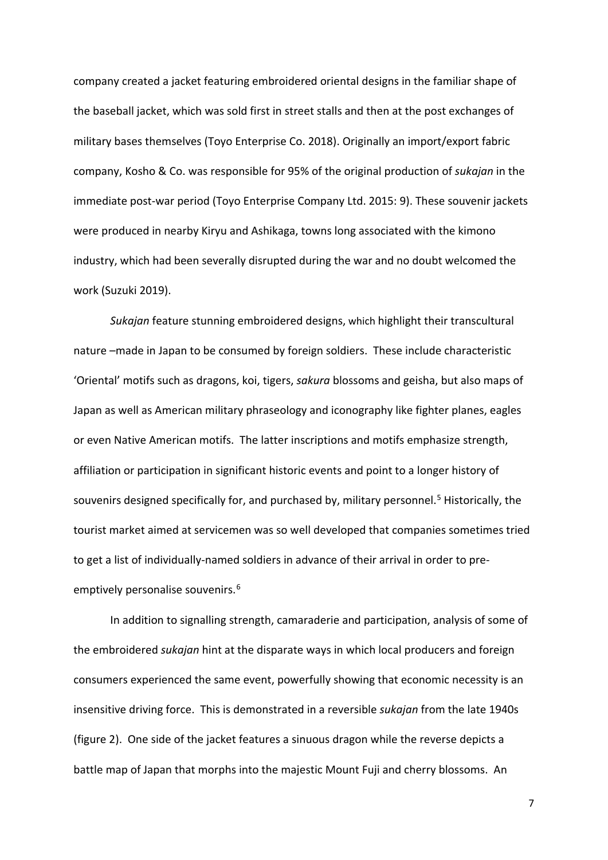company created a jacket featuring embroidered oriental designs in the familiar shape of the baseball jacket, which was sold first in street stalls and then at the post exchanges of military bases themselves (Toyo Enterprise Co. 2018). Originally an import/export fabric company, Kosho & Co. was responsible for 95% of the original production of *sukajan* in the immediate post-war period (Toyo Enterprise Company Ltd. 2015: 9). These souvenir jackets were produced in nearby Kiryu and Ashikaga, towns long associated with the kimono industry, which had been severally disrupted during the war and no doubt welcomed the work (Suzuki 2019).

*Sukajan* feature stunning embroidered designs, which highlight their transcultural nature –made in Japan to be consumed by foreign soldiers. These include characteristic 'Oriental' motifs such as dragons, koi, tigers, *sakura* blossoms and geisha, but also maps of Japan as well as American military phraseology and iconography like fighter planes, eagles or even Native American motifs. The latter inscriptions and motifs emphasize strength, affiliation or participation in significant historic events and point to a longer history of souvenirs designed specifically for, and purchased by, military personnel.<sup>[5](#page-5-4)</sup> Historically, the tourist market aimed at servicemen was so well developed that companies sometimes tried to get a list of individually-named soldiers in advance of their arrival in order to pre-emptively personalise souvenirs.<sup>[6](#page-5-5)</sup>

In addition to signalling strength, camaraderie and participation, analysis of some of the embroidered *sukajan* hint at the disparate ways in which local producers and foreign consumers experienced the same event, powerfully showing that economic necessity is an insensitive driving force. This is demonstrated in a reversible *sukajan* from the late 1940s (figure 2). One side of the jacket features a sinuous dragon while the reverse depicts a battle map of Japan that morphs into the majestic Mount Fuji and cherry blossoms. An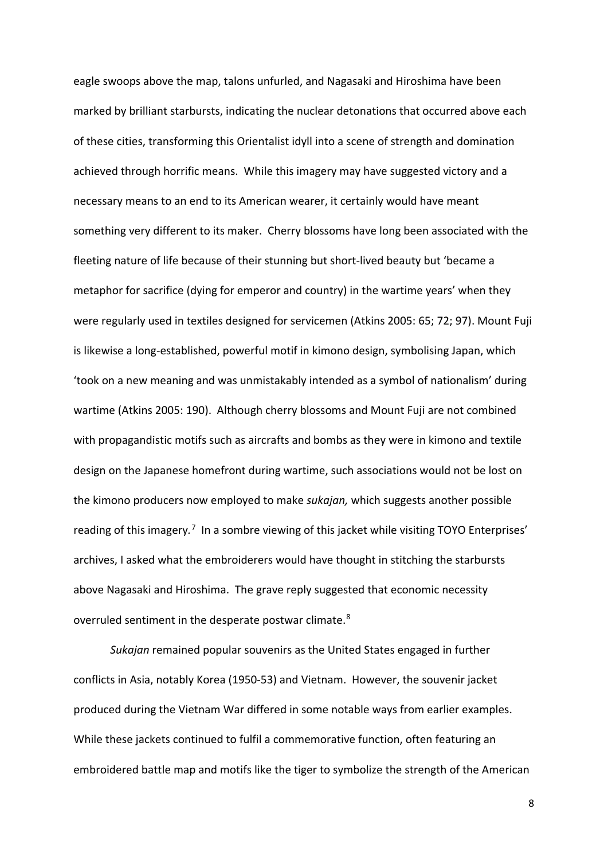eagle swoops above the map, talons unfurled, and Nagasaki and Hiroshima have been marked by brilliant starbursts, indicating the nuclear detonations that occurred above each of these cities, transforming this Orientalist idyll into a scene of strength and domination achieved through horrific means. While this imagery may have suggested victory and a necessary means to an end to its American wearer, it certainly would have meant something very different to its maker. Cherry blossoms have long been associated with the fleeting nature of life because of their stunning but short-lived beauty but 'became a metaphor for sacrifice (dying for emperor and country) in the wartime years' when they were regularly used in textiles designed for servicemen (Atkins 2005: 65; 72; 97). Mount Fuji is likewise a long-established, powerful motif in kimono design, symbolising Japan, which 'took on a new meaning and was unmistakably intended as a symbol of nationalism' during wartime (Atkins 2005: 190). Although cherry blossoms and Mount Fuji are not combined with propagandistic motifs such as aircrafts and bombs as they were in kimono and textile design on the Japanese homefront during wartime, such associations would not be lost on the kimono producers now employed to make *sukajan,* which suggests another possible reading of this imagery.<sup>[7](#page-5-6)</sup> In a sombre viewing of this jacket while visiting TOYO Enterprises' archives, I asked what the embroiderers would have thought in stitching the starbursts above Nagasaki and Hiroshima. The grave reply suggested that economic necessity overruled sentiment in the desperate postwar climate.<sup>[8](#page-5-7)</sup>

*Sukajan* remained popular souvenirs as the United States engaged in further conflicts in Asia, notably Korea (1950-53) and Vietnam. However, the souvenir jacket produced during the Vietnam War differed in some notable ways from earlier examples. While these jackets continued to fulfil a commemorative function, often featuring an embroidered battle map and motifs like the tiger to symbolize the strength of the American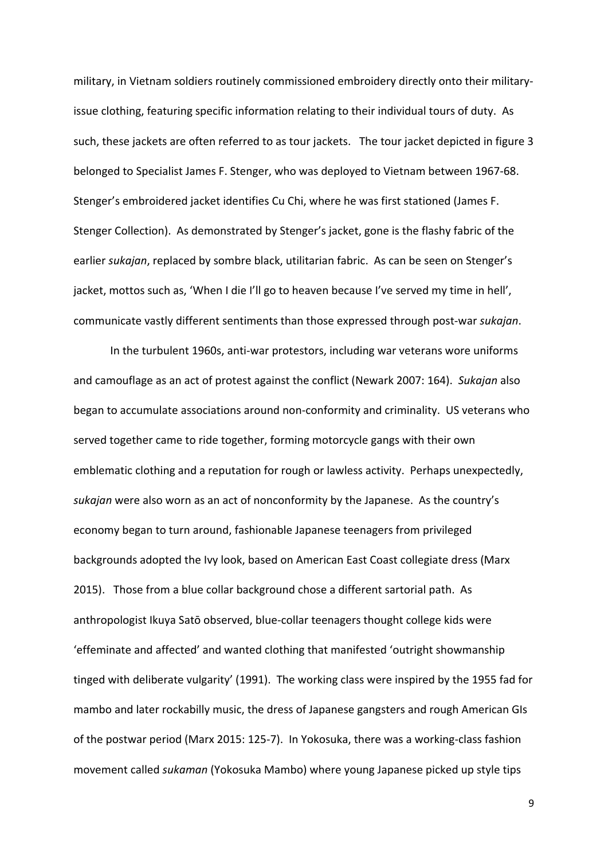military, in Vietnam soldiers routinely commissioned embroidery directly onto their militaryissue clothing, featuring specific information relating to their individual tours of duty. As such, these jackets are often referred to as tour jackets. The tour jacket depicted in figure 3 belonged to Specialist James F. Stenger, who was deployed to Vietnam between 1967-68. Stenger's embroidered jacket identifies Cu Chi, where he was first stationed (James F. Stenger Collection). As demonstrated by Stenger's jacket, gone is the flashy fabric of the earlier *sukajan*, replaced by sombre black, utilitarian fabric. As can be seen on Stenger's jacket, mottos such as, 'When I die I'll go to heaven because I've served my time in hell', communicate vastly different sentiments than those expressed through post-war *sukajan*.

In the turbulent 1960s, anti-war protestors, including war veterans wore uniforms and camouflage as an act of protest against the conflict (Newark 2007: 164). *Sukajan* also began to accumulate associations around non-conformity and criminality. US veterans who served together came to ride together, forming motorcycle gangs with their own emblematic clothing and a reputation for rough or lawless activity. Perhaps unexpectedly, *sukajan* were also worn as an act of nonconformity by the Japanese. As the country's economy began to turn around, fashionable Japanese teenagers from privileged backgrounds adopted the Ivy look, based on American East Coast collegiate dress (Marx 2015). Those from a blue collar background chose a different sartorial path. As anthropologist Ikuya Satō observed, blue-collar teenagers thought college kids were 'effeminate and affected' and wanted clothing that manifested 'outright showmanship tinged with deliberate vulgarity' (1991). The working class were inspired by the 1955 fad for mambo and later rockabilly music, the dress of Japanese gangsters and rough American GIs of the postwar period (Marx 2015: 125-7). In Yokosuka, there was a working-class fashion movement called *sukaman* (Yokosuka Mambo) where young Japanese picked up style tips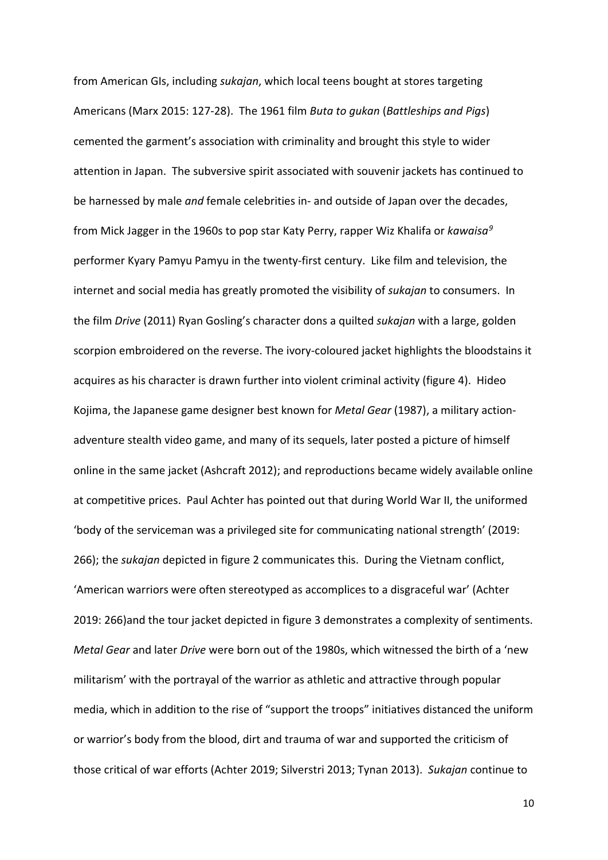from American GIs, including *sukajan*, which local teens bought at stores targeting Americans (Marx 2015: 127-28). The 1961 film *Buta to gukan* (*Battleships and Pigs*) cemented the garment's association with criminality and brought this style to wider attention in Japan. The subversive spirit associated with souvenir jackets has continued to be harnessed by male *and* female celebrities in- and outside of Japan over the decades, from Mick Jagger in the 1960s to pop star Katy Perry, rapper Wiz Khalifa or *kawaisa[9](#page-5-8)* performer Kyary Pamyu Pamyu in the twenty-first century. Like film and television, the internet and social media has greatly promoted the visibility of *sukajan* to consumers. In the film *Drive* (2011) Ryan Gosling's character dons a quilted *sukajan* with a large, golden scorpion embroidered on the reverse. The ivory-coloured jacket highlights the bloodstains it acquires as his character is drawn further into violent criminal activity (figure 4). Hideo Kojima, the Japanese game designer best known for *Metal Gear* (1987), a military actionadventure stealth video game, and many of its sequels, later posted a picture of himself online in the same jacket (Ashcraft 2012); and reproductions became widely available online at competitive prices. Paul Achter has pointed out that during World War II, the uniformed 'body of the serviceman was a privileged site for communicating national strength' (2019: 266); the *sukajan* depicted in figure 2 communicates this. During the Vietnam conflict, 'American warriors were often stereotyped as accomplices to a disgraceful war' (Achter 2019: 266)and the tour jacket depicted in figure 3 demonstrates a complexity of sentiments. *Metal Gear* and later *Drive* were born out of the 1980s, which witnessed the birth of a 'new militarism' with the portrayal of the warrior as athletic and attractive through popular media, which in addition to the rise of "support the troops" initiatives distanced the uniform or warrior's body from the blood, dirt and trauma of war and supported the criticism of those critical of war efforts (Achter 2019; Silverstri 2013; Tynan 2013). *Sukajan* continue to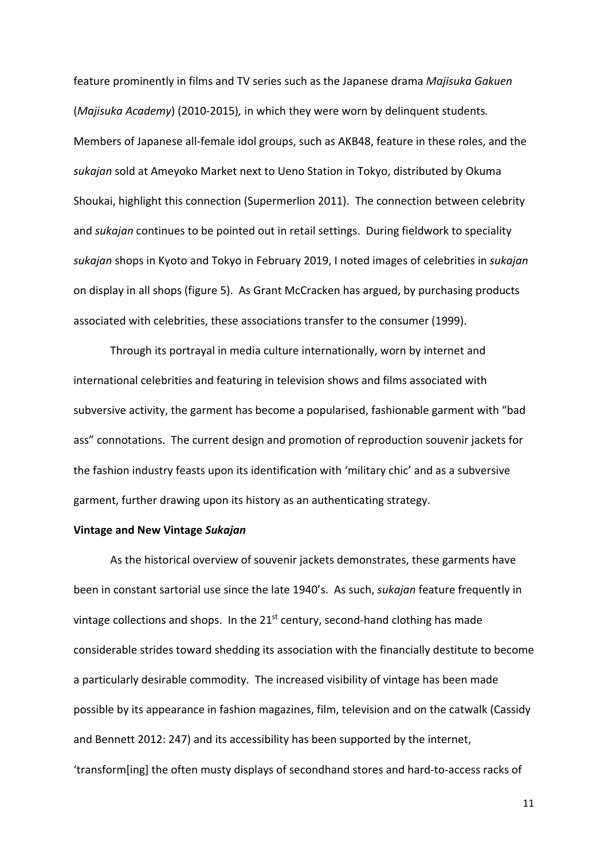feature prominently in films and TV series such as the Japanese drama *Majisuka Gakuen* (*Majisuka Academy*) (2010-2015)*,* in which they were worn by delinquent students*.* Members of Japanese all-female idol groups, such as AKB48, feature in these roles, and the *sukajan* sold at Ameyoko Market next to Ueno Station in Tokyo, distributed by Okuma Shoukai, highlight this connection (Supermerlion 2011). The connection between celebrity and *sukajan* continues to be pointed out in retail settings. During fieldwork to speciality *sukajan* shops in Kyoto and Tokyo in February 2019, I noted images of celebrities in *sukajan* on display in all shops (figure 5). As Grant McCracken has argued, by purchasing products associated with celebrities, these associations transfer to the consumer (1999).

Through its portrayal in media culture internationally, worn by internet and international celebrities and featuring in television shows and films associated with subversive activity, the garment has become a popularised, fashionable garment with "bad ass" connotations. The current design and promotion of reproduction souvenir jackets for the fashion industry feasts upon its identification with 'military chic' and as a subversive garment, further drawing upon its history as an authenticating strategy.

#### **Vintage and New Vintage** *Sukajan*

As the historical overview of souvenir jackets demonstrates, these garments have been in constant sartorial use since the late 1940's. As such, *sukajan* feature frequently in vintage collections and shops. In the  $21^{st}$  century, second-hand clothing has made considerable strides toward shedding its association with the financially destitute to become a particularly desirable commodity. The increased visibility of vintage has been made possible by its appearance in fashion magazines, film, television and on the catwalk (Cassidy and Bennett 2012: 247) and its accessibility has been supported by the internet, 'transform[ing] the often musty displays of secondhand stores and hard-to-access racks of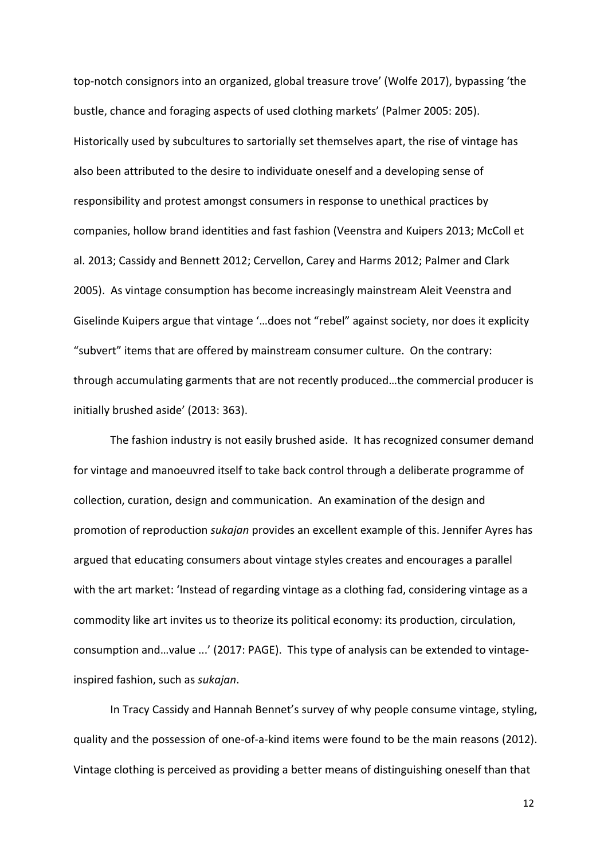top-notch consignors into an organized, global treasure trove' (Wolfe 2017), bypassing 'the bustle, chance and foraging aspects of used clothing markets' (Palmer 2005: 205). Historically used by subcultures to sartorially set themselves apart, the rise of vintage has also been attributed to the desire to individuate oneself and a developing sense of responsibility and protest amongst consumers in response to unethical practices by companies, hollow brand identities and fast fashion (Veenstra and Kuipers 2013; McColl et al. 2013; Cassidy and Bennett 2012; Cervellon, Carey and Harms 2012; Palmer and Clark 2005). As vintage consumption has become increasingly mainstream Aleit Veenstra and Giselinde Kuipers argue that vintage '…does not "rebel" against society, nor does it explicity "subvert" items that are offered by mainstream consumer culture. On the contrary: through accumulating garments that are not recently produced…the commercial producer is initially brushed aside' (2013: 363).

The fashion industry is not easily brushed aside. It has recognized consumer demand for vintage and manoeuvred itself to take back control through a deliberate programme of collection, curation, design and communication. An examination of the design and promotion of reproduction *sukajan* provides an excellent example of this. Jennifer Ayres has argued that educating consumers about vintage styles creates and encourages a parallel with the art market: 'Instead of regarding vintage as a clothing fad, considering vintage as a commodity like art invites us to theorize its political economy: its production, circulation, consumption and…value ...' (2017: PAGE). This type of analysis can be extended to vintageinspired fashion, such as *sukajan*.

In Tracy Cassidy and Hannah Bennet's survey of why people consume vintage, styling, quality and the possession of one-of-a-kind items were found to be the main reasons (2012). Vintage clothing is perceived as providing a better means of distinguishing oneself than that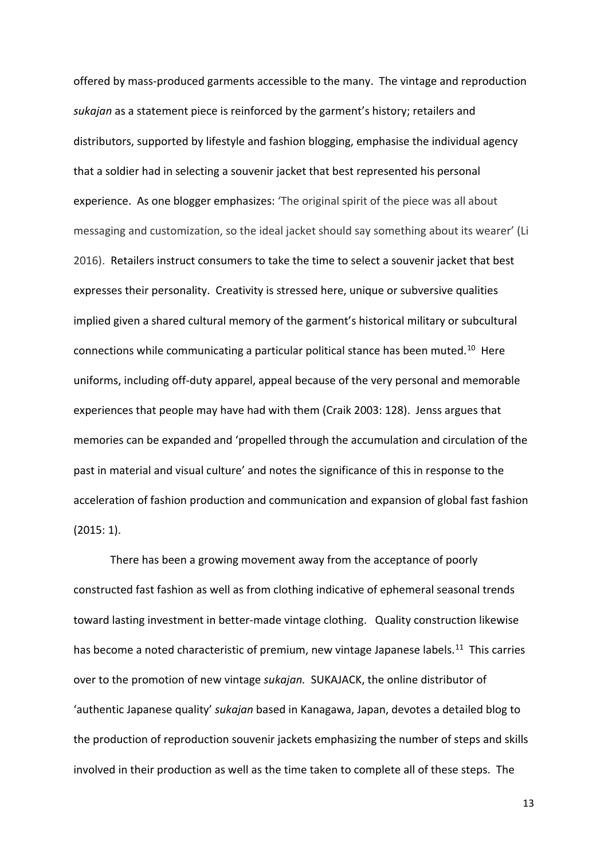offered by mass-produced garments accessible to the many. The vintage and reproduction *sukajan* as a statement piece is reinforced by the garment's history; retailers and distributors, supported by lifestyle and fashion blogging, emphasise the individual agency that a soldier had in selecting a souvenir jacket that best represented his personal experience. As one blogger emphasizes: 'The original spirit of the piece was all about messaging and customization, so the ideal jacket should say something about its wearer' (Li 2016). Retailers instruct consumers to take the time to select a souvenir jacket that best expresses their personality. Creativity is stressed here, unique or subversive qualities implied given a shared cultural memory of the garment's historical military or subcultural connections while communicating a particular political stance has been muted.<sup>10</sup> Here uniforms, including off-duty apparel, appeal because of the very personal and memorable experiences that people may have had with them (Craik 2003: 128). Jenss argues that memories can be expanded and 'propelled through the accumulation and circulation of the past in material and visual culture' and notes the significance of this in response to the acceleration of fashion production and communication and expansion of global fast fashion (2015: 1).

There has been a growing movement away from the acceptance of poorly constructed fast fashion as well as from clothing indicative of ephemeral seasonal trends toward lasting investment in better-made vintage clothing. Quality construction likewise has become a noted characteristic of premium, new vintage Japanese labels.<sup>[11](#page-5-10)</sup> This carries over to the promotion of new vintage *sukajan.* SUKAJACK, the online distributor of 'authentic Japanese quality' *sukajan* based in Kanagawa, Japan, devotes a detailed blog to the production of reproduction souvenir jackets emphasizing the number of steps and skills involved in their production as well as the time taken to complete all of these steps. The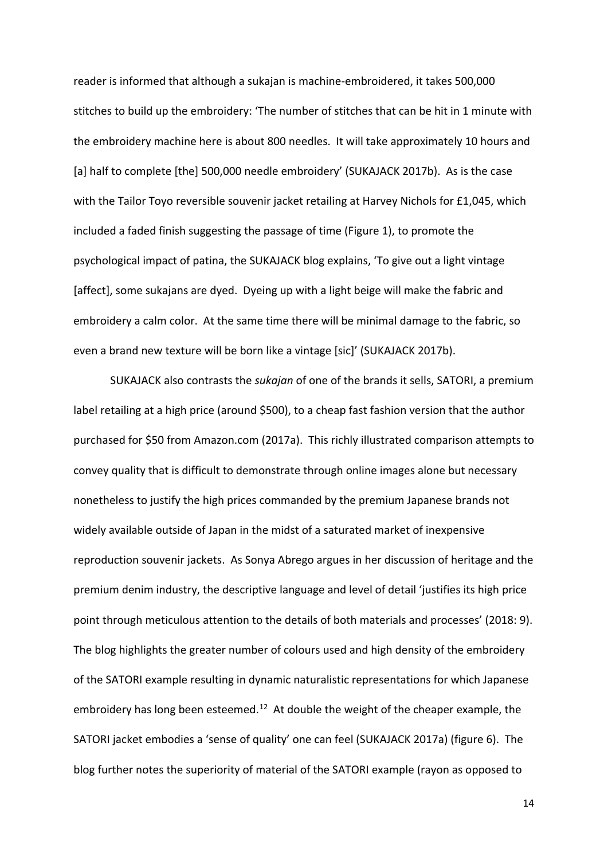reader is informed that although a sukajan is machine-embroidered, it takes 500,000 stitches to build up the embroidery: 'The number of stitches that can be hit in 1 minute with the embroidery machine here is about 800 needles. It will take approximately 10 hours and [a] half to complete [the] 500,000 needle embroidery' (SUKAJACK 2017b). As is the case with the Tailor Toyo reversible souvenir jacket retailing at Harvey Nichols for £1,045, which included a faded finish suggesting the passage of time (Figure 1), to promote the psychological impact of patina, the SUKAJACK blog explains, 'To give out a light vintage [affect], some sukajans are dyed. Dyeing up with a light beige will make the fabric and embroidery a calm color. At the same time there will be minimal damage to the fabric, so even a brand new texture will be born like a vintage [sic]' (SUKAJACK 2017b).

SUKAJACK also contrasts the *sukajan* of one of the brands it sells, SATORI, a premium label retailing at a high price (around \$500), to a cheap fast fashion version that the author purchased for \$50 from Amazon.com (2017a). This richly illustrated comparison attempts to convey quality that is difficult to demonstrate through online images alone but necessary nonetheless to justify the high prices commanded by the premium Japanese brands not widely available outside of Japan in the midst of a saturated market of inexpensive reproduction souvenir jackets. As Sonya Abrego argues in her discussion of heritage and the premium denim industry, the descriptive language and level of detail 'justifies its high price point through meticulous attention to the details of both materials and processes' (2018: 9). The blog highlights the greater number of colours used and high density of the embroidery of the SATORI example resulting in dynamic naturalistic representations for which Japanese embroidery has long been esteemed.<sup>[12](#page-5-11)</sup> At double the weight of the cheaper example, the SATORI jacket embodies a 'sense of quality' one can feel (SUKAJACK 2017a) (figure 6). The blog further notes the superiority of material of the SATORI example (rayon as opposed to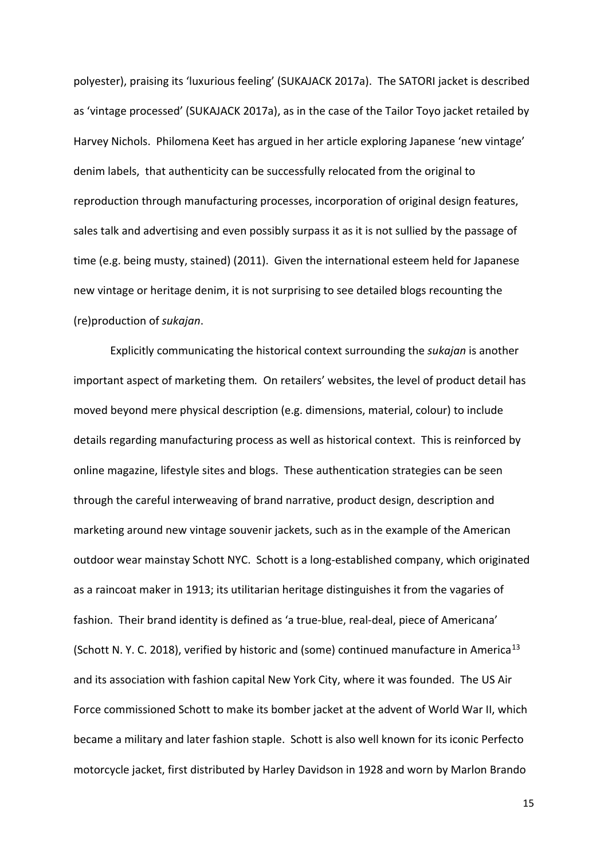polyester), praising its 'luxurious feeling' (SUKAJACK 2017a). The SATORI jacket is described as 'vintage processed' (SUKAJACK 2017a), as in the case of the Tailor Toyo jacket retailed by Harvey Nichols. Philomena Keet has argued in her article exploring Japanese 'new vintage' denim labels, that authenticity can be successfully relocated from the original to reproduction through manufacturing processes, incorporation of original design features, sales talk and advertising and even possibly surpass it as it is not sullied by the passage of time (e.g. being musty, stained) (2011). Given the international esteem held for Japanese new vintage or heritage denim, it is not surprising to see detailed blogs recounting the (re)production of *sukajan*.

Explicitly communicating the historical context surrounding the *sukajan* is another important aspect of marketing them*.* On retailers' websites, the level of product detail has moved beyond mere physical description (e.g. dimensions, material, colour) to include details regarding manufacturing process as well as historical context. This is reinforced by online magazine, lifestyle sites and blogs. These authentication strategies can be seen through the careful interweaving of brand narrative, product design, description and marketing around new vintage souvenir jackets, such as in the example of the American outdoor wear mainstay Schott NYC. Schott is a long-established company, which originated as a raincoat maker in 1913; its utilitarian heritage distinguishes it from the vagaries of fashion. Their brand identity is defined as 'a true-blue, real-deal, piece of Americana' (Schott N. Y. C. 2018), verified by historic and (some) continued manufacture in America<sup>[13](#page-5-12)</sup> and its association with fashion capital New York City, where it was founded. The US Air Force commissioned Schott to make its bomber jacket at the advent of World War II, which became a military and later fashion staple. Schott is also well known for its iconic Perfecto motorcycle jacket, first distributed by Harley Davidson in 1928 and worn by Marlon Brando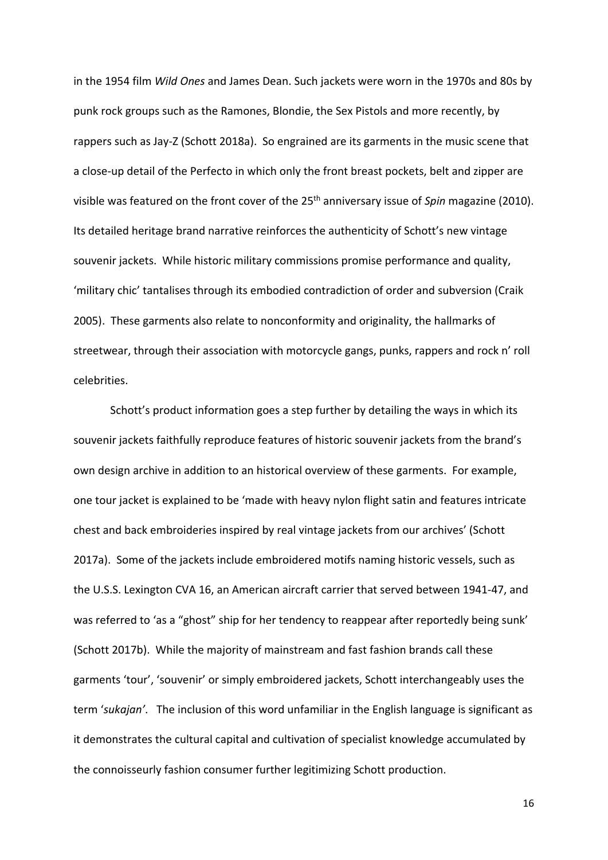in the 1954 film *Wild Ones* and James Dean. Such jackets were worn in the 1970s and 80s by punk rock groups such as the Ramones, Blondie, the Sex Pistols and more recently, by rappers such as Jay-Z (Schott 2018a). So engrained are its garments in the music scene that a close-up detail of the Perfecto in which only the front breast pockets, belt and zipper are visible was featured on the front cover of the 25<sup>th</sup> anniversary issue of *Spin* magazine (2010). Its detailed heritage brand narrative reinforces the authenticity of Schott's new vintage souvenir jackets. While historic military commissions promise performance and quality, 'military chic' tantalises through its embodied contradiction of order and subversion (Craik 2005). These garments also relate to nonconformity and originality, the hallmarks of streetwear, through their association with motorcycle gangs, punks, rappers and rock n' roll celebrities.

Schott's product information goes a step further by detailing the ways in which its souvenir jackets faithfully reproduce features of historic souvenir jackets from the brand's own design archive in addition to an historical overview of these garments. For example, one tour jacket is explained to be 'made with heavy nylon flight satin and features intricate chest and back embroideries inspired by real vintage jackets from our archives' (Schott 2017a). Some of the jackets include embroidered motifs naming historic vessels, such as the U.S.S. Lexington CVA 16, an American aircraft carrier that served between 1941-47, and was referred to 'as a "ghost" ship for her tendency to reappear after reportedly being sunk' (Schott 2017b). While the majority of mainstream and fast fashion brands call these garments 'tour', 'souvenir' or simply embroidered jackets, Schott interchangeably uses the term '*sukajan'*. The inclusion of this word unfamiliar in the English language is significant as it demonstrates the cultural capital and cultivation of specialist knowledge accumulated by the connoisseurly fashion consumer further legitimizing Schott production.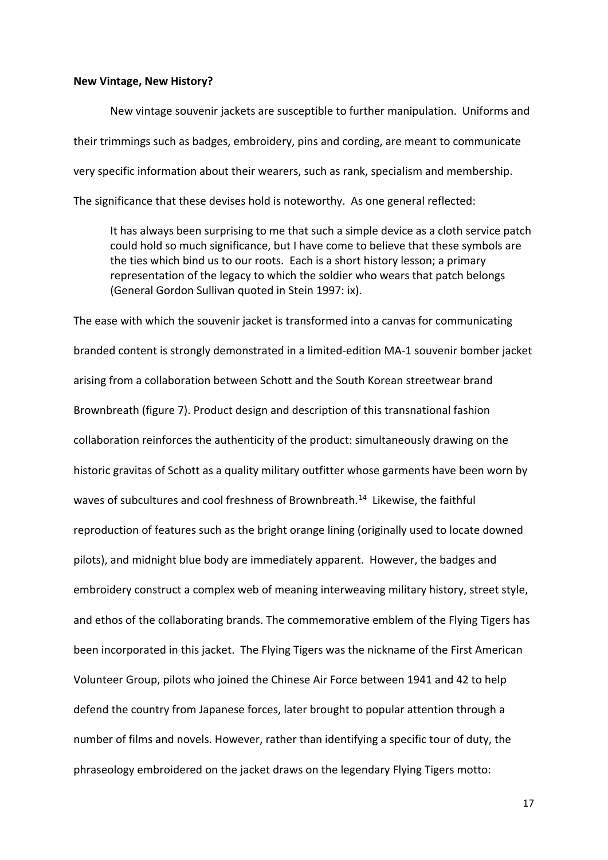#### **New Vintage, New History?**

New vintage souvenir jackets are susceptible to further manipulation. Uniforms and their trimmings such as badges, embroidery, pins and cording, are meant to communicate very specific information about their wearers, such as rank, specialism and membership. The significance that these devises hold is noteworthy. As one general reflected:

It has always been surprising to me that such a simple device as a cloth service patch could hold so much significance, but I have come to believe that these symbols are the ties which bind us to our roots. Each is a short history lesson; a primary representation of the legacy to which the soldier who wears that patch belongs (General Gordon Sullivan quoted in Stein 1997: ix).

The ease with which the souvenir jacket is transformed into a canvas for communicating branded content is strongly demonstrated in a limited-edition MA-1 souvenir bomber jacket arising from a collaboration between Schott and the South Korean streetwear brand Brownbreath (figure 7). Product design and description of this transnational fashion collaboration reinforces the authenticity of the product: simultaneously drawing on the historic gravitas of Schott as a quality military outfitter whose garments have been worn by waves of subcultures and cool freshness of Brownbreath.<sup>[14](#page-5-13)</sup> Likewise, the faithful reproduction of features such as the bright orange lining (originally used to locate downed pilots), and midnight blue body are immediately apparent. However, the badges and embroidery construct a complex web of meaning interweaving military history, street style, and ethos of the collaborating brands. The commemorative emblem of the Flying Tigers has been incorporated in this jacket. The Flying Tigers was the nickname of the First American Volunteer Group, pilots who joined the Chinese Air Force between 1941 and 42 to help defend the country from Japanese forces, later brought to popular attention through a number of films and novels. However, rather than identifying a specific tour of duty, the phraseology embroidered on the jacket draws on the legendary Flying Tigers motto: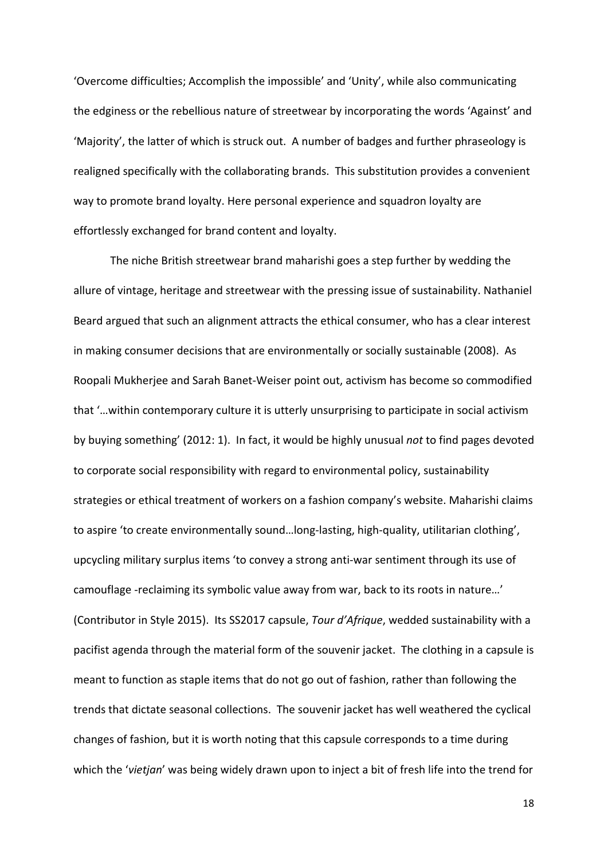'Overcome difficulties; Accomplish the impossible' and 'Unity', while also communicating the edginess or the rebellious nature of streetwear by incorporating the words 'Against' and 'Majority', the latter of which is struck out. A number of badges and further phraseology is realigned specifically with the collaborating brands. This substitution provides a convenient way to promote brand loyalty. Here personal experience and squadron loyalty are effortlessly exchanged for brand content and loyalty.

The niche British streetwear brand maharishi goes a step further by wedding the allure of vintage, heritage and streetwear with the pressing issue of sustainability. Nathaniel Beard argued that such an alignment attracts the ethical consumer, who has a clear interest in making consumer decisions that are environmentally or socially sustainable (2008). As Roopali Mukherjee and Sarah Banet-Weiser point out, activism has become so commodified that '…within contemporary culture it is utterly unsurprising to participate in social activism by buying something' (2012: 1). In fact, it would be highly unusual *not* to find pages devoted to corporate social responsibility with regard to environmental policy, sustainability strategies or ethical treatment of workers on a fashion company's website. Maharishi claims to aspire 'to create environmentally sound…long-lasting, high-quality, utilitarian clothing', upcycling military surplus items 'to convey a strong anti-war sentiment through its use of camouflage -reclaiming its symbolic value away from war, back to its roots in nature…' (Contributor in Style 2015). Its SS2017 capsule, *Tour d'Afrique*, wedded sustainability with a pacifist agenda through the material form of the souvenir jacket. The clothing in a capsule is meant to function as staple items that do not go out of fashion, rather than following the trends that dictate seasonal collections. The souvenir jacket has well weathered the cyclical changes of fashion, but it is worth noting that this capsule corresponds to a time during which the '*vietjan*' was being widely drawn upon to inject a bit of fresh life into the trend for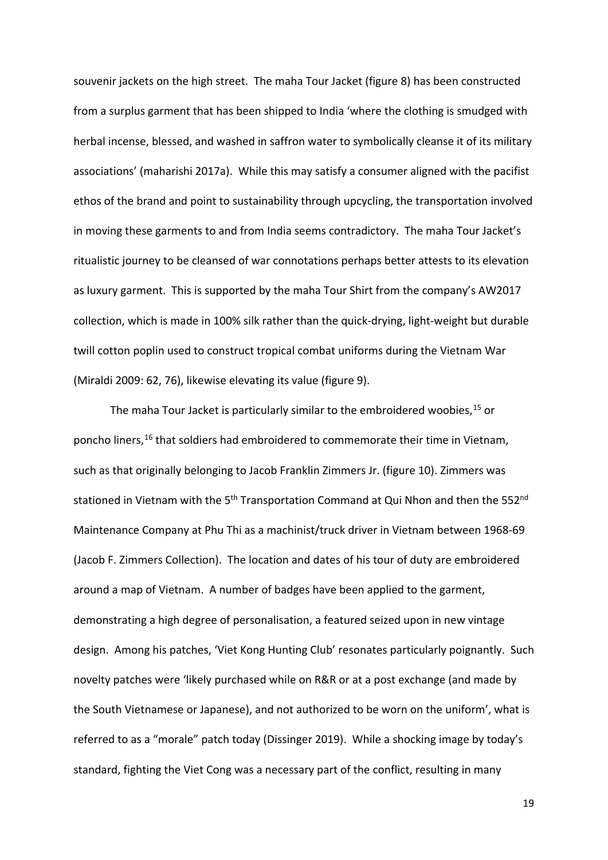souvenir jackets on the high street. The maha Tour Jacket (figure 8) has been constructed from a surplus garment that has been shipped to India 'where the clothing is smudged with herbal incense, blessed, and washed in saffron water to symbolically cleanse it of its military associations' (maharishi 2017a). While this may satisfy a consumer aligned with the pacifist ethos of the brand and point to sustainability through upcycling, the transportation involved in moving these garments to and from India seems contradictory. The maha Tour Jacket's ritualistic journey to be cleansed of war connotations perhaps better attests to its elevation as luxury garment. This is supported by the maha Tour Shirt from the company's AW2017 collection, which is made in 100% silk rather than the quick-drying, light-weight but durable twill cotton poplin used to construct tropical combat uniforms during the Vietnam War (Miraldi 2009: 62, 76), likewise elevating its value (figure 9).

The maha Tour Jacket is particularly similar to the embroidered woobies, [15](#page-5-14) or poncho liners,<sup>[16](#page-5-15)</sup> that soldiers had embroidered to commemorate their time in Vietnam, such as that originally belonging to Jacob Franklin Zimmers Jr. (figure 10). Zimmers was stationed in Vietnam with the 5<sup>th</sup> Transportation Command at Qui Nhon and then the 552<sup>nd</sup> Maintenance Company at Phu Thi as a machinist/truck driver in Vietnam between 1968-69 (Jacob F. Zimmers Collection). The location and dates of his tour of duty are embroidered around a map of Vietnam. A number of badges have been applied to the garment, demonstrating a high degree of personalisation, a featured seized upon in new vintage design. Among his patches, 'Viet Kong Hunting Club' resonates particularly poignantly. Such novelty patches were 'likely purchased while on R&R or at a post exchange (and made by the South Vietnamese or Japanese), and not authorized to be worn on the uniform', what is referred to as a "morale" patch today (Dissinger 2019). While a shocking image by today's standard, fighting the Viet Cong was a necessary part of the conflict, resulting in many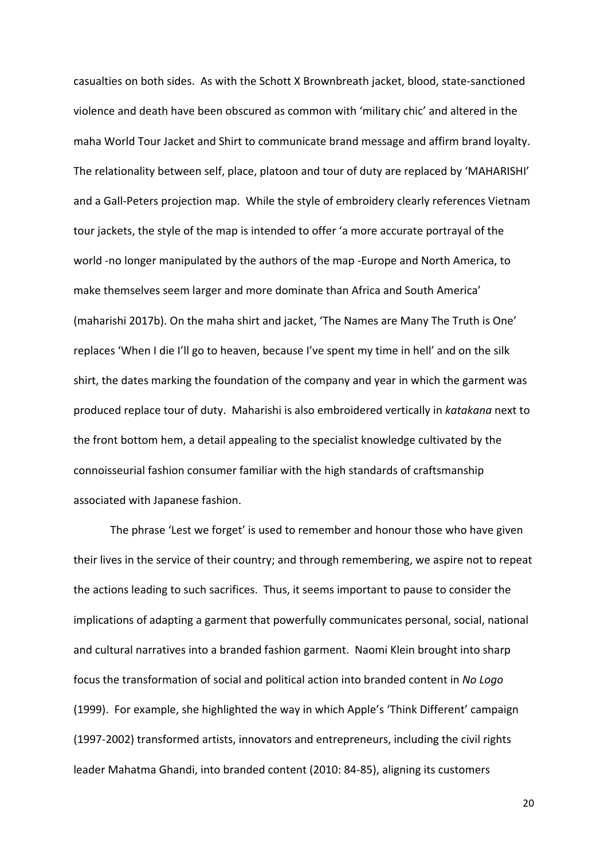casualties on both sides. As with the Schott X Brownbreath jacket, blood, state-sanctioned violence and death have been obscured as common with 'military chic' and altered in the maha World Tour Jacket and Shirt to communicate brand message and affirm brand loyalty. The relationality between self, place, platoon and tour of duty are replaced by 'MAHARISHI' and a Gall-Peters projection map. While the style of embroidery clearly references Vietnam tour jackets, the style of the map is intended to offer 'a more accurate portrayal of the world -no longer manipulated by the authors of the map -Europe and North America, to make themselves seem larger and more dominate than Africa and South America' (maharishi 2017b). On the maha shirt and jacket, 'The Names are Many The Truth is One' replaces 'When I die I'll go to heaven, because I've spent my time in hell' and on the silk shirt, the dates marking the foundation of the company and year in which the garment was produced replace tour of duty. Maharishi is also embroidered vertically in *katakana* next to the front bottom hem, a detail appealing to the specialist knowledge cultivated by the connoisseurial fashion consumer familiar with the high standards of craftsmanship associated with Japanese fashion.

The phrase 'Lest we forget' is used to remember and honour those who have given their lives in the service of their country; and through remembering, we aspire not to repeat the actions leading to such sacrifices. Thus, it seems important to pause to consider the implications of adapting a garment that powerfully communicates personal, social, national and cultural narratives into a branded fashion garment. Naomi Klein brought into sharp focus the transformation of social and political action into branded content in *No Logo*  (1999). For example, she highlighted the way in which Apple's 'Think Different' campaign (1997-2002) transformed artists, innovators and entrepreneurs, including the civil rights leader Mahatma Ghandi, into branded content (2010: 84-85), aligning its customers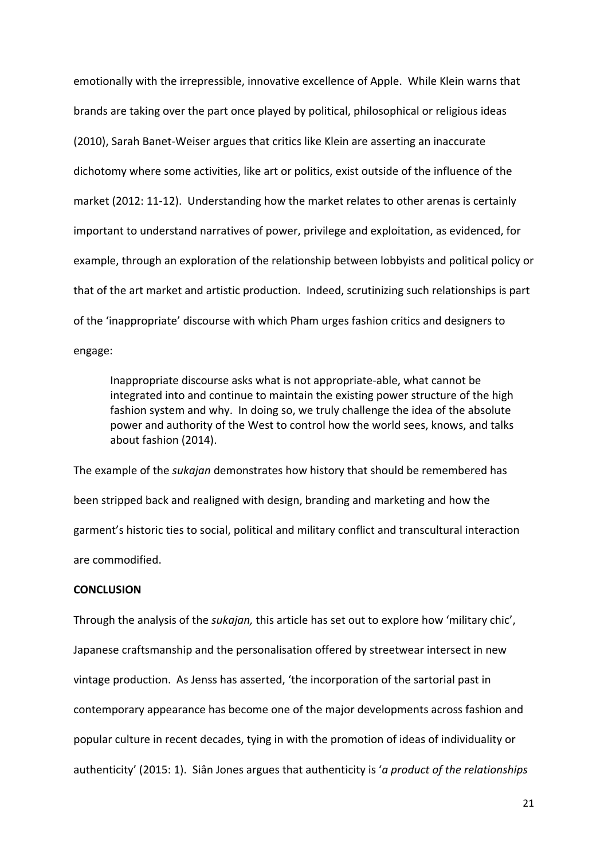emotionally with the irrepressible, innovative excellence of Apple. While Klein warns that brands are taking over the part once played by political, philosophical or religious ideas (2010), Sarah Banet-Weiser argues that critics like Klein are asserting an inaccurate dichotomy where some activities, like art or politics, exist outside of the influence of the market (2012: 11-12). Understanding how the market relates to other arenas is certainly important to understand narratives of power, privilege and exploitation, as evidenced, for example, through an exploration of the relationship between lobbyists and political policy or that of the art market and artistic production. Indeed, scrutinizing such relationships is part of the 'inappropriate' discourse with which Pham urges fashion critics and designers to engage:

Inappropriate discourse asks what is not appropriate-able, what cannot be integrated into and continue to maintain the existing power structure of the high fashion system and why. In doing so, we truly challenge the idea of the absolute power and authority of the West to control how the world sees, knows, and talks about fashion (2014).

The example of the *sukajan* demonstrates how history that should be remembered has been stripped back and realigned with design, branding and marketing and how the garment's historic ties to social, political and military conflict and transcultural interaction are commodified.

#### **CONCLUSION**

Through the analysis of the *sukajan,* this article has set out to explore how 'military chic', Japanese craftsmanship and the personalisation offered by streetwear intersect in new vintage production. As Jenss has asserted, 'the incorporation of the sartorial past in contemporary appearance has become one of the major developments across fashion and popular culture in recent decades, tying in with the promotion of ideas of individuality or authenticity' (2015: 1). Siân Jones argues that authenticity is '*a product of the relationships*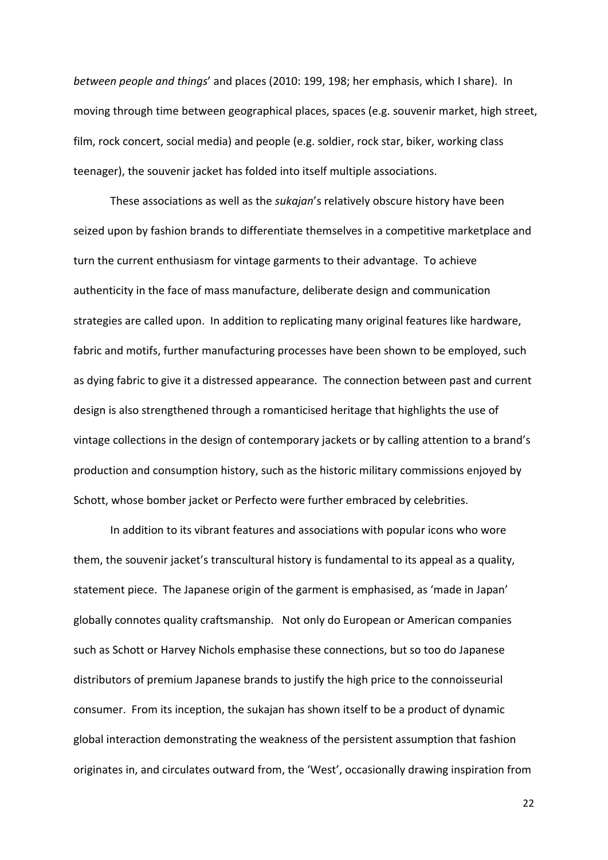*between people and things*' and places (2010: 199, 198; her emphasis, which I share). In moving through time between geographical places, spaces (e.g. souvenir market, high street, film, rock concert, social media) and people (e.g. soldier, rock star, biker, working class teenager), the souvenir jacket has folded into itself multiple associations.

These associations as well as the *sukajan*'s relatively obscure history have been seized upon by fashion brands to differentiate themselves in a competitive marketplace and turn the current enthusiasm for vintage garments to their advantage. To achieve authenticity in the face of mass manufacture, deliberate design and communication strategies are called upon. In addition to replicating many original features like hardware, fabric and motifs, further manufacturing processes have been shown to be employed, such as dying fabric to give it a distressed appearance. The connection between past and current design is also strengthened through a romanticised heritage that highlights the use of vintage collections in the design of contemporary jackets or by calling attention to a brand's production and consumption history, such as the historic military commissions enjoyed by Schott, whose bomber jacket or Perfecto were further embraced by celebrities.

In addition to its vibrant features and associations with popular icons who wore them, the souvenir jacket's transcultural history is fundamental to its appeal as a quality, statement piece. The Japanese origin of the garment is emphasised, as 'made in Japan' globally connotes quality craftsmanship. Not only do European or American companies such as Schott or Harvey Nichols emphasise these connections, but so too do Japanese distributors of premium Japanese brands to justify the high price to the connoisseurial consumer. From its inception, the sukajan has shown itself to be a product of dynamic global interaction demonstrating the weakness of the persistent assumption that fashion originates in, and circulates outward from, the 'West', occasionally drawing inspiration from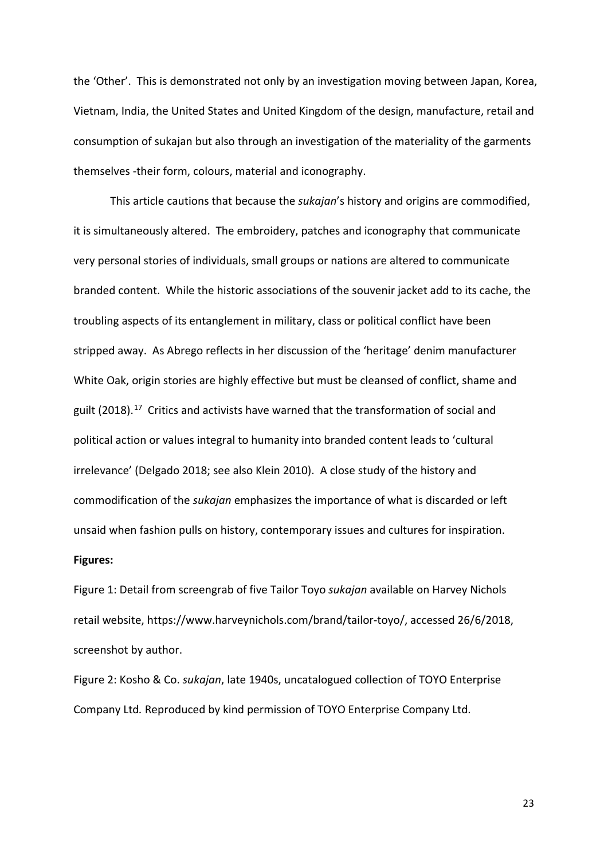the 'Other'. This is demonstrated not only by an investigation moving between Japan, Korea, Vietnam, India, the United States and United Kingdom of the design, manufacture, retail and consumption of sukajan but also through an investigation of the materiality of the garments themselves -their form, colours, material and iconography.

This article cautions that because the *sukajan*'s history and origins are commodified, it is simultaneously altered. The embroidery, patches and iconography that communicate very personal stories of individuals, small groups or nations are altered to communicate branded content. While the historic associations of the souvenir jacket add to its cache, the troubling aspects of its entanglement in military, class or political conflict have been stripped away. As Abrego reflects in her discussion of the 'heritage' denim manufacturer White Oak, origin stories are highly effective but must be cleansed of conflict, shame and guilt (2018).<sup>[17](#page-5-16)</sup> Critics and activists have warned that the transformation of social and political action or values integral to humanity into branded content leads to 'cultural irrelevance' (Delgado 2018; see also Klein 2010). A close study of the history and commodification of the *sukajan* emphasizes the importance of what is discarded or left unsaid when fashion pulls on history, contemporary issues and cultures for inspiration.

#### **Figures:**

Figure 1: Detail from screengrab of five Tailor Toyo *sukajan* available on Harvey Nichols retail website, https://www.harveynichols.com/brand/tailor-toyo/, accessed 26/6/2018, screenshot by author.

Figure 2: Kosho & Co. *sukajan*, late 1940s, uncatalogued collection of TOYO Enterprise Company Ltd*.* Reproduced by kind permission of TOYO Enterprise Company Ltd.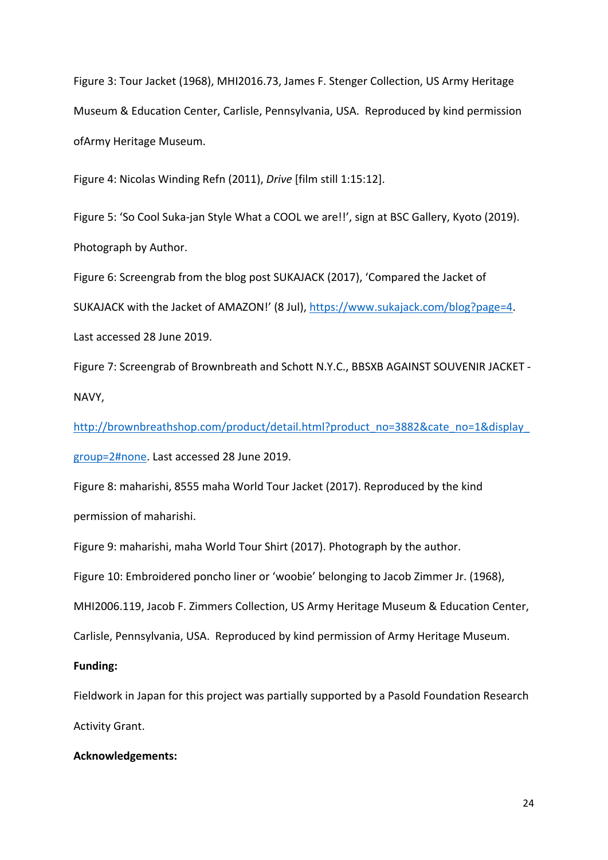Figure 3: Tour Jacket (1968), MHI2016.73, James F. Stenger Collection, US Army Heritage Museum & Education Center, Carlisle, Pennsylvania, USA. Reproduced by kind permission ofArmy Heritage Museum.

Figure 4: Nicolas Winding Refn (2011), *Drive* [film still 1:15:12].

Figure 5: 'So Cool Suka-jan Style What a COOL we are!!', sign at BSC Gallery, Kyoto (2019). Photograph by Author.

Figure 6: Screengrab from the blog post SUKAJACK (2017), 'Compared the Jacket of SUKAJACK with the Jacket of AMAZON!' (8 Jul), [https://www.sukajack.com/blog?page=4.](https://www.sukajack.com/blog?page=4) Last accessed 28 June 2019.

Figure 7: Screengrab of Brownbreath and Schott N.Y.C., BBSXB AGAINST SOUVENIR JACKET - NAVY,

[http://brownbreathshop.com/product/detail.html?product\\_no=3882&cate\\_no=1&display\\_](http://brownbreathshop.com/product/detail.html?product_no=3882&cate_no=1&display_group=2#none) [group=2#none.](http://brownbreathshop.com/product/detail.html?product_no=3882&cate_no=1&display_group=2#none) Last accessed 28 June 2019.

Figure 8: maharishi, 8555 maha World Tour Jacket (2017). Reproduced by the kind permission of maharishi.

Figure 9: maharishi, maha World Tour Shirt (2017). Photograph by the author.

Figure 10: Embroidered poncho liner or 'woobie' belonging to Jacob Zimmer Jr. (1968),

MHI2006.119, Jacob F. Zimmers Collection, US Army Heritage Museum & Education Center,

Carlisle, Pennsylvania, USA. Reproduced by kind permission of Army Heritage Museum.

## **Funding:**

Fieldwork in Japan for this project was partially supported by a Pasold Foundation Research Activity Grant.

### **Acknowledgements:**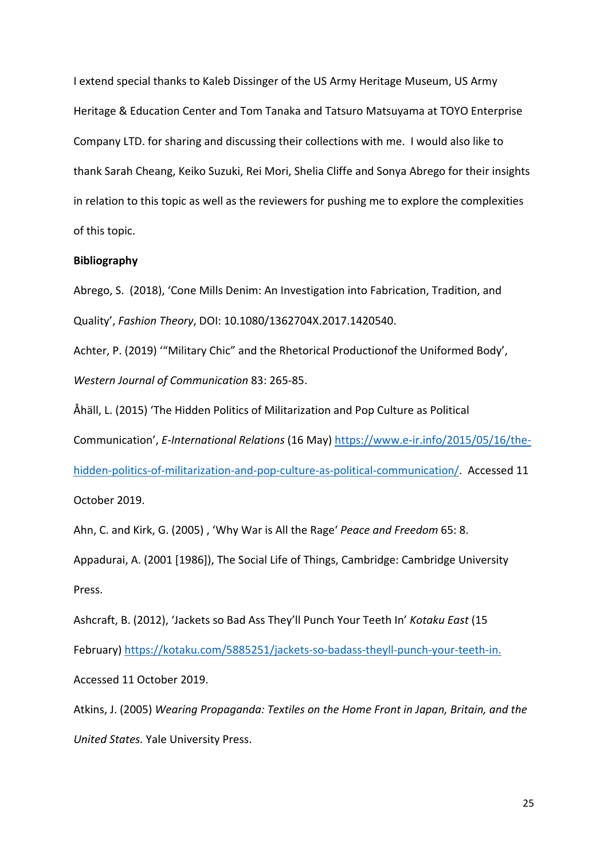I extend special thanks to Kaleb Dissinger of the US Army Heritage Museum, US Army Heritage & Education Center and Tom Tanaka and Tatsuro Matsuyama at TOYO Enterprise Company LTD. for sharing and discussing their collections with me. I would also like to thank Sarah Cheang, Keiko Suzuki, Rei Mori, Shelia Cliffe and Sonya Abrego for their insights in relation to this topic as well as the reviewers for pushing me to explore the complexities of this topic.

#### **Bibliography**

Abrego, S. (2018), 'Cone Mills Denim: An Investigation into Fabrication, Tradition, and Quality', *Fashion Theory*, DOI: 10.1080/1362704X.2017.1420540.

Achter, P. (2019) '"Military Chic" and the Rhetorical Productionof the Uniformed Body', *Western Journal of Communication* 83: 265-85.

Åhäll, L. (2015) 'The Hidden Politics of Militarization and Pop Culture as Political Communication', *E-International Relations* (16 May) [https://www.e-ir.info/2015/05/16/the](https://www.e-ir.info/2015/05/16/the-hidden-politics-of-militarization-and-pop-culture-as-political-communication/)[hidden-politics-of-militarization-and-pop-culture-as-political-communication/.](https://www.e-ir.info/2015/05/16/the-hidden-politics-of-militarization-and-pop-culture-as-political-communication/) Accessed 11 October 2019.

Ahn, C. and Kirk, G. (2005) ' 'Why War is All the Rage' *Peace and Freedom* 65: 8.

Appadurai, A. (2001 [1986]), The Social Life of Things, Cambridge: Cambridge University Press.

Ashcraft, B. (2012), 'Jackets so Bad Ass They'll Punch Your Teeth In' *Kotaku East* (15 February) [https://kotaku.com/5885251/jackets-so-badass-theyll-punch-your-teeth-in.](https://kotaku.com/5885251/jackets-so-badass-theyll-punch-your-teeth-in) Accessed 11 October 2019.

Atkins, J. (2005) *Wearing Propaganda: Textiles on the Home Front in Japan, Britain, and the United States.* Yale University Press.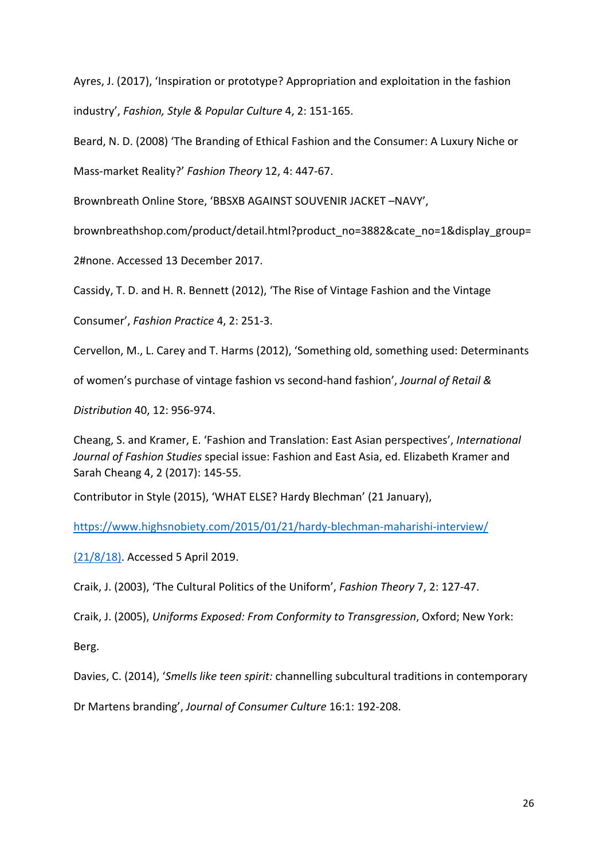Ayres, J. (2017), 'Inspiration or prototype? Appropriation and exploitation in the fashion industry', *Fashion, Style & Popular Culture* 4, 2: 151-165.

Beard, N. D. (2008) 'The Branding of Ethical Fashion and the Consumer: A Luxury Niche or

Mass-market Reality?' *Fashion Theory* 12, 4: 447-67.

Brownbreath Online Store, 'BBSXB AGAINST SOUVENIR JACKET –NAVY',

brownbreathshop.com/product/detail.html?product\_no=3882&cate\_no=1&display\_group=

2#none. Accessed 13 December 2017.

Cassidy, T. D. and H. R. Bennett (2012), 'The Rise of Vintage Fashion and the Vintage

Consumer', *Fashion Practice* 4, 2: 251-3.

Cervellon, M., L. Carey and T. Harms (2012), 'Something old, something used: Determinants

of women's purchase of vintage fashion vs second-hand fashion', *Journal of Retail &* 

*Distribution* 40, 12: 956-974.

Cheang, S. and Kramer, E. 'Fashion and Translation: East Asian perspectives', *International Journal of Fashion Studies* special issue: Fashion and East Asia, ed. Elizabeth Kramer and Sarah Cheang 4, 2 (2017): 145-55.

Contributor in Style (2015), 'WHAT ELSE? Hardy Blechman' (21 January),

<https://www.highsnobiety.com/2015/01/21/hardy-blechman-maharishi-interview/>

(21/8/18). Accessed 5 April 2019.

Craik, J. (2003), 'The Cultural Politics of the Uniform', *Fashion Theory* 7, 2: 127-47.

Craik, J. (2005), *Uniforms Exposed: From Conformity to Transgression*, Oxford; New York:

Berg.

Davies, C. (2014), '*Smells like teen spirit:* channelling subcultural traditions in contemporary

Dr Martens branding', *Journal of Consumer Culture* 16:1: 192-208.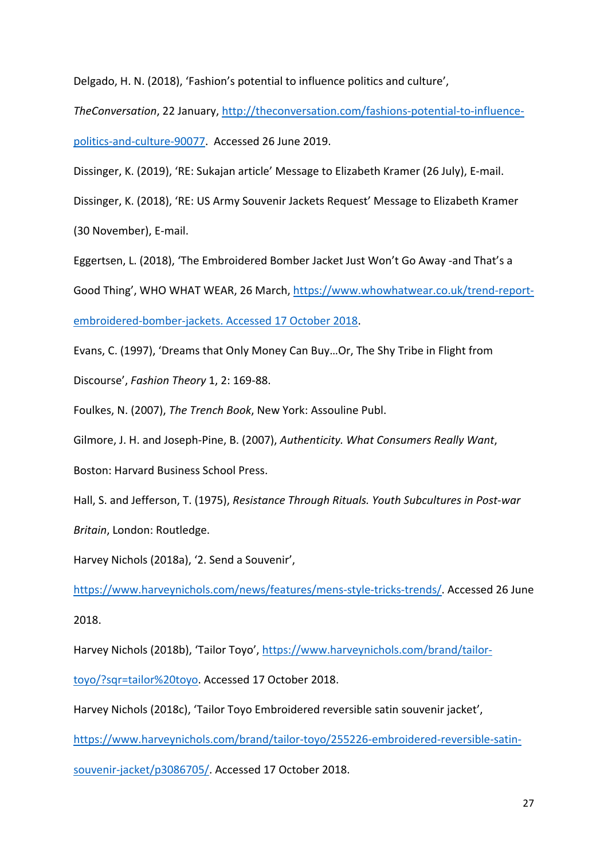Delgado, H. N. (2018), 'Fashion's potential to influence politics and culture',

*TheConversation*, 22 January, [http://theconversation.com/fashions-potential-to-influence](http://theconversation.com/fashions-potential-to-influence-politics-and-culture-90077)[politics-and-culture-90077.](http://theconversation.com/fashions-potential-to-influence-politics-and-culture-90077) Accessed 26 June 2019.

Dissinger, K. (2019), 'RE: Sukajan article' Message to Elizabeth Kramer (26 July), E-mail.

Dissinger, K. (2018), 'RE: US Army Souvenir Jackets Request' Message to Elizabeth Kramer

(30 November), E-mail.

Eggertsen, L. (2018), 'The Embroidered Bomber Jacket Just Won't Go Away -and That's a

Good Thing', WHO WHAT WEAR, 26 March, [https://www.whowhatwear.co.uk/trend-report-](https://www.whowhatwear.co.uk/trend-report-embroidered-bomber-jackets.%20Accessed%2017%20October%202018)

[embroidered-bomber-jackets. Accessed 17 October 2018.](https://www.whowhatwear.co.uk/trend-report-embroidered-bomber-jackets.%20Accessed%2017%20October%202018)

Evans, C. (1997), 'Dreams that Only Money Can Buy…Or, The Shy Tribe in Flight from

Discourse', *Fashion Theory* 1, 2: 169-88.

Foulkes, N. (2007), *The Trench Book*, New York: Assouline Publ.

Gilmore, J. H. and Joseph-Pine, B. (2007), *Authenticity. What Consumers Really Want*,

Boston: Harvard Business School Press.

Hall, S. and Jefferson, T. (1975), *Resistance Through Rituals. Youth Subcultures in Post-war* 

*Britain*, London: Routledge.

Harvey Nichols (2018a), '2. Send a Souvenir',

[https://www.harveynichols.com/news/features/mens-style-tricks-trends/.](https://www.harveynichols.com/news/features/mens-style-tricks-trends/) Accessed 26 June 2018.

Harvey Nichols (2018b), 'Tailor Toyo', [https://www.harveynichols.com/brand/tailor-](https://www.harveynichols.com/brand/tailor-toyo/?sqr=tailor%20toyo)

[toyo/?sqr=tailor%20toyo.](https://www.harveynichols.com/brand/tailor-toyo/?sqr=tailor%20toyo) Accessed 17 October 2018.

Harvey Nichols (2018c), 'Tailor Toyo Embroidered reversible satin souvenir jacket',

[https://www.harveynichols.com/brand/tailor-toyo/255226-embroidered-reversible-satin-](https://www.harveynichols.com/brand/tailor-toyo/255226-embroidered-reversible-satin-souvenir-jacket/p3086705/)

[souvenir-jacket/p3086705/.](https://www.harveynichols.com/brand/tailor-toyo/255226-embroidered-reversible-satin-souvenir-jacket/p3086705/) Accessed 17 October 2018.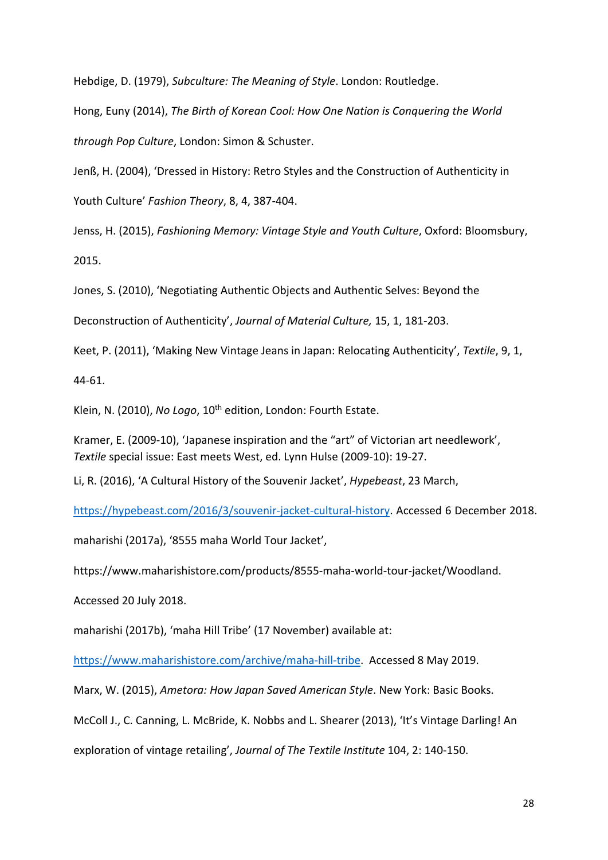Hebdige, D. (1979), *Subculture: The Meaning of Style*. London: Routledge.

Hong, Euny (2014), *The Birth of Korean Cool: How One Nation is Conquering the World through Pop Culture*, London: Simon & Schuster.

Jenß, H. (2004), 'Dressed in History: Retro Styles and the Construction of Authenticity in Youth Culture' *Fashion Theory*, 8, 4, 387-404.

Jenss, H. (2015), *Fashioning Memory: Vintage Style and Youth Culture*, Oxford: Bloomsbury, 2015.

Jones, S. (2010), 'Negotiating Authentic Objects and Authentic Selves: Beyond the

Deconstruction of Authenticity', *Journal of Material Culture,* 15, 1, 181-203.

Keet, P. (2011), 'Making New Vintage Jeans in Japan: Relocating Authenticity', *Textile*, 9, 1,

44-61.

Klein, N. (2010), *No Logo*, 10<sup>th</sup> edition, London: Fourth Estate.

Kramer, E. (2009-10), 'Japanese inspiration and the "art" of Victorian art needlework', *Textile* special issue: East meets West, ed. Lynn Hulse (2009-10): 19-27.

Li, R. (2016), 'A Cultural History of the Souvenir Jacket', *Hypebeast*, 23 March,

[https://hypebeast.com/2016/3/souvenir-jacket-cultural-history.](https://hypebeast.com/2016/3/souvenir-jacket-cultural-history) Accessed 6 December 2018.

maharishi (2017a), '8555 maha World Tour Jacket',

https://www.maharishistore.com/products/8555-maha-world-tour-jacket/Woodland.

Accessed 20 July 2018.

maharishi (2017b), 'maha Hill Tribe' (17 November) available at:

[https://www.maharishistore.com/archive/maha-hill-tribe.](https://www.maharishistore.com/archive/maha-hill-tribe) Accessed 8 May 2019.

Marx, W. (2015), *Ametora: How Japan Saved American Style*. New York: Basic Books.

McColl J., C. Canning, L. McBride, K. Nobbs and L. Shearer (2013), 'It's Vintage Darling! An

exploration of vintage retailing', *Journal of The Textile Institute* 104, 2: 140-150.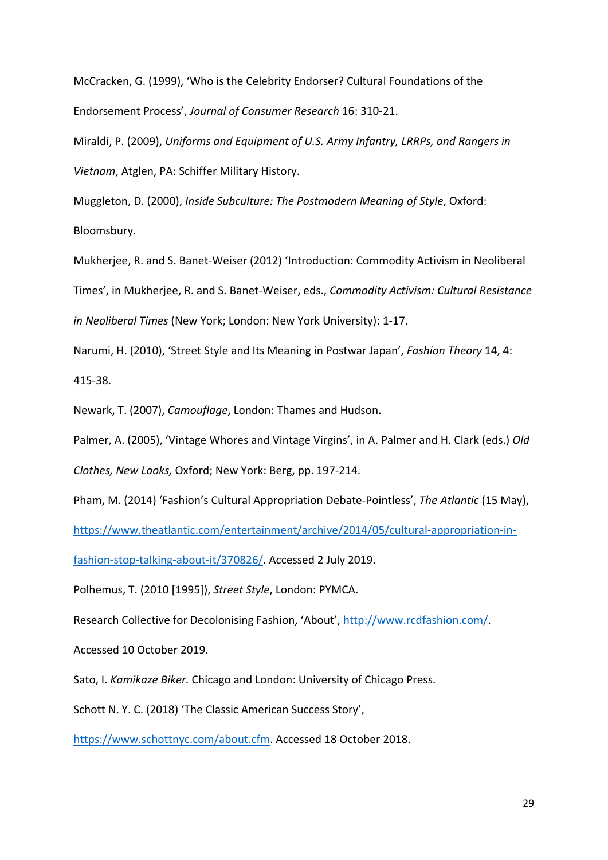McCracken, G. (1999), 'Who is the Celebrity Endorser? Cultural Foundations of the Endorsement Process', *Journal of Consumer Research* 16: 310-21.

Miraldi, P. (2009), *Uniforms and Equipment of U.S. Army Infantry, LRRPs, and Rangers in Vietnam*, Atglen, PA: Schiffer Military History.

Muggleton, D. (2000), *Inside Subculture: The Postmodern Meaning of Style*, Oxford: Bloomsbury.

Mukherjee, R. and S. Banet-Weiser (2012) 'Introduction: Commodity Activism in Neoliberal Times', in Mukherjee, R. and S. Banet-Weiser, eds., *Commodity Activism: Cultural Resistance in Neoliberal Times* (New York; London: New York University): 1-17.

Narumi, H. (2010), 'Street Style and Its Meaning in Postwar Japan', *Fashion Theory* 14, 4: 415-38.

Newark, T. (2007), *Camouflage*, London: Thames and Hudson.

Palmer, A. (2005), 'Vintage Whores and Vintage Virgins', in A. Palmer and H. Clark (eds.) *Old* 

*Clothes, New Looks,* Oxford; New York: Berg, pp. 197-214.

Pham, M. (2014) 'Fashion's Cultural Appropriation Debate-Pointless', *The Atlantic* (15 May),

[https://www.theatlantic.com/entertainment/archive/2014/05/cultural-appropriation-in-](https://www.theatlantic.com/entertainment/archive/2014/05/cultural-appropriation-in-fashion-stop-talking-about-it/370826/)

[fashion-stop-talking-about-it/370826/.](https://www.theatlantic.com/entertainment/archive/2014/05/cultural-appropriation-in-fashion-stop-talking-about-it/370826/) Accessed 2 July 2019.

Polhemus, T. (2010 [1995]), *Street Style*, London: PYMCA.

Research Collective for Decolonising Fashion, 'About', [http://www.rcdfashion.com/.](http://www.rcdfashion.com/)

Accessed 10 October 2019.

Sato, I. *Kamikaze Biker.* Chicago and London: University of Chicago Press.

Schott N. Y. C. (2018) 'The Classic American Success Story',

[https://www.schottnyc.com/about.cfm.](https://www.schottnyc.com/about.cfm) Accessed 18 October 2018.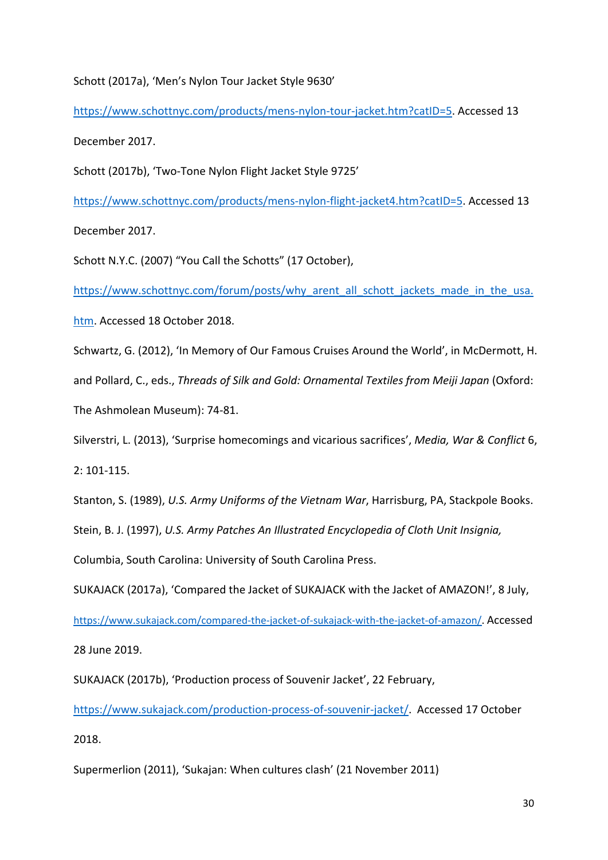# Schott (2017a), 'Men's Nylon Tour Jacket Style 9630'

[https://www.schottnyc.com/products/mens-nylon-tour-jacket.htm?catID=5.](https://www.schottnyc.com/products/mens-nylon-tour-jacket.htm?catID=5) Accessed 13 December 2017.

Schott (2017b), 'Two-Tone Nylon Flight Jacket Style 9725'

[https://www.schottnyc.com/products/mens-nylon-flight-jacket4.htm?catID=5.](https://www.schottnyc.com/products/mens-nylon-flight-jacket4.htm?catID=5) Accessed 13

December 2017.

Schott N.Y.C. (2007) "You Call the Schotts" (17 October),

[https://www.schottnyc.com/forum/posts/why\\_arent\\_all\\_schott\\_jackets\\_made\\_in\\_the\\_usa.](https://www.schottnyc.com/forum/posts/why_arent_all_schott_jackets_made_in_the_usa.htm)

[htm.](https://www.schottnyc.com/forum/posts/why_arent_all_schott_jackets_made_in_the_usa.htm) Accessed 18 October 2018.

Schwartz, G. (2012), 'In Memory of Our Famous Cruises Around the World', in McDermott, H.

and Pollard, C., eds., *Threads of Silk and Gold: Ornamental Textiles from Meiji Japan* (Oxford:

The Ashmolean Museum): 74-81.

Silverstri, L. (2013), 'Surprise homecomings and vicarious sacrifices', *Media, War & Conflict* 6, 2: 101-115.

Stanton, S. (1989), *U.S. Army Uniforms of the Vietnam War*, Harrisburg, PA, Stackpole Books.

Stein, B. J. (1997), *U.S. Army Patches An Illustrated Encyclopedia of Cloth Unit Insignia,* 

Columbia, South Carolina: University of South Carolina Press.

SUKAJACK (2017a), 'Compared the Jacket of SUKAJACK with the Jacket of AMAZON!', 8 July,

[https://www.sukajack.com/compared-the-jacket-of-sukajack-with-the-jacket-of-amazon/.](https://www.sukajack.com/compared-the-jacket-of-sukajack-with-the-jacket-of-amazon/) Accessed

28 June 2019.

SUKAJACK (2017b), 'Production process of Souvenir Jacket', 22 February,

[https://www.sukajack.com/production-process-of-souvenir-jacket/.](https://www.sukajack.com/production-process-of-souvenir-jacket/) Accessed 17 October

2018.

Supermerlion (2011), 'Sukajan: When cultures clash' (21 November 2011)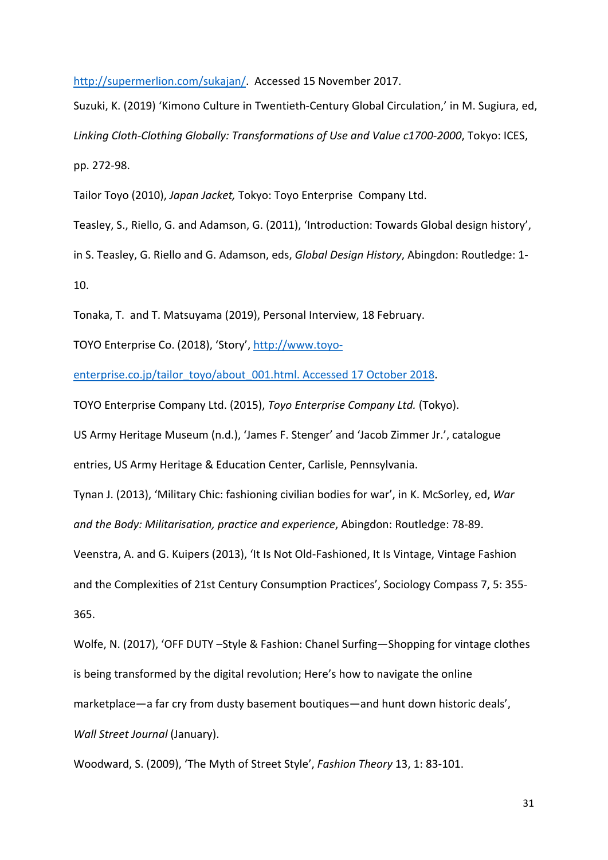[http://supermerlion.com/sukajan/.](http://supermerlion.com/sukajan/) Accessed 15 November 2017.

Suzuki, K. (2019) 'Kimono Culture in Twentieth-Century Global Circulation,' in M. Sugiura, ed, *Linking Cloth-Clothing Globally: Transformations of Use and Value c1700-2000*, Tokyo: ICES, pp. 272-98.

Tailor Toyo (2010), *Japan Jacket,* Tokyo: Toyo Enterprise Company Ltd.

Teasley, S., Riello, G. and Adamson, G. (2011), 'Introduction: Towards Global design history',

in S. Teasley, G. Riello and G. Adamson, eds, *Global Design History*, Abingdon: Routledge: 1-

10.

Tonaka, T. and T. Matsuyama (2019), Personal Interview, 18 February.

TOYO Enterprise Co. (2018), 'Story', [http://www.toyo-](http://www.toyo-enterprise.co.jp/tailor_toyo/about_001.html.%20Accessed%2017%20October%202018)

[enterprise.co.jp/tailor\\_toyo/about\\_001.html. Accessed 17 October 2018.](http://www.toyo-enterprise.co.jp/tailor_toyo/about_001.html.%20Accessed%2017%20October%202018)

TOYO Enterprise Company Ltd. (2015), *Toyo Enterprise Company Ltd.* (Tokyo).

US Army Heritage Museum (n.d.), 'James F. Stenger' and 'Jacob Zimmer Jr.', catalogue

entries, US Army Heritage & Education Center, Carlisle, Pennsylvania.

Tynan J. (2013), 'Military Chic: fashioning civilian bodies for war', in K. McSorley, ed, *War and the Body: Militarisation, practice and experience*, Abingdon: Routledge: 78-89.

Veenstra, A. and G. Kuipers (2013), 'It Is Not Old-Fashioned, It Is Vintage, Vintage Fashion and the Complexities of 21st Century Consumption Practices', Sociology Compass 7, 5: 355-

365.

Wolfe, N. (2017), 'OFF DUTY –Style & Fashion: Chanel Surfing—Shopping for vintage clothes is being transformed by the digital revolution; Here's how to navigate the online marketplace—a far cry from dusty basement boutiques—and hunt down historic deals', *Wall Street Journal (January).* 

Woodward, S. (2009), 'The Myth of Street Style', *Fashion Theory* 13, 1: 83-101.